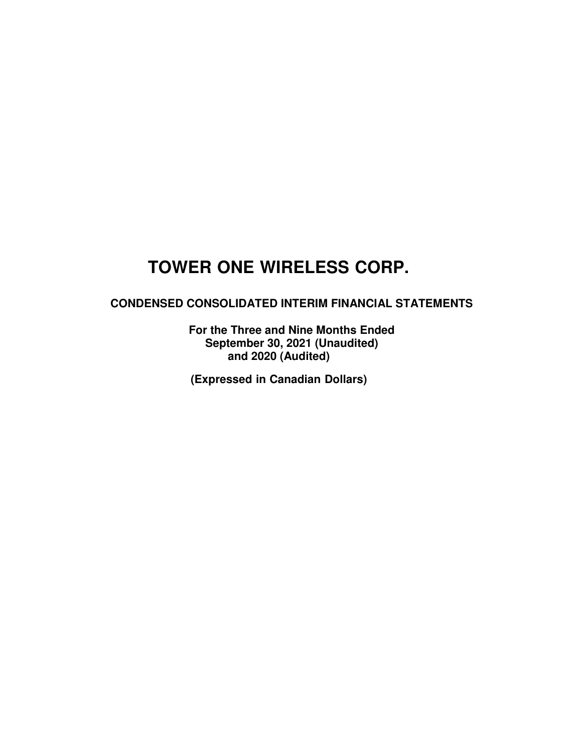## **CONDENSED CONSOLIDATED INTERIM FINANCIAL STATEMENTS**

**For the Three and Nine Months Ended September 30, 2021 (Unaudited) and 2020 (Audited)** 

**(Expressed in Canadian Dollars)**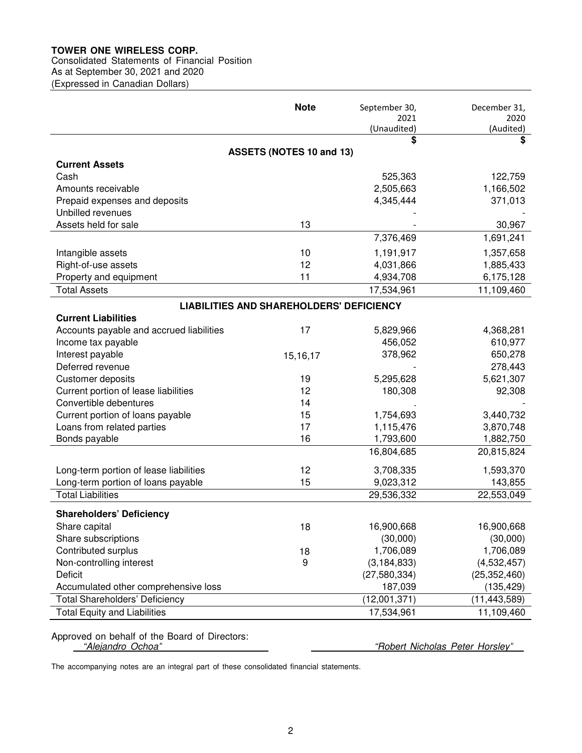## Consolidated Statements of Financial Position

As at September 30, 2021 and 2020 (Expressed in Canadian Dollars)

|                                          | <b>Note</b>                                     | September 30,       | December 31,      |
|------------------------------------------|-------------------------------------------------|---------------------|-------------------|
|                                          |                                                 | 2021<br>(Unaudited) | 2020<br>(Audited) |
|                                          |                                                 | \$                  | \$                |
|                                          | ASSETS (NOTES 10 and 13)                        |                     |                   |
| <b>Current Assets</b>                    |                                                 |                     |                   |
| Cash                                     |                                                 | 525,363             | 122,759           |
| Amounts receivable                       |                                                 | 2,505,663           | 1,166,502         |
| Prepaid expenses and deposits            |                                                 | 4,345,444           | 371,013           |
| Unbilled revenues                        |                                                 |                     |                   |
| Assets held for sale                     | 13                                              |                     | 30,967            |
|                                          |                                                 | 7,376,469           | 1,691,241         |
| Intangible assets                        | 10                                              | 1,191,917           | 1,357,658         |
| Right-of-use assets                      | 12                                              | 4,031,866           | 1,885,433         |
| Property and equipment                   | 11                                              | 4,934,708           | 6,175,128         |
| <b>Total Assets</b>                      |                                                 | 17,534,961          | 11,109,460        |
|                                          | <b>LIABILITIES AND SHAREHOLDERS' DEFICIENCY</b> |                     |                   |
| <b>Current Liabilities</b>               |                                                 |                     |                   |
| Accounts payable and accrued liabilities | 17                                              | 5,829,966           | 4,368,281         |
| Income tax payable                       |                                                 | 456,052             | 610,977           |
| Interest payable                         | 15, 16, 17                                      | 378,962             | 650,278           |
| Deferred revenue                         |                                                 |                     | 278,443           |
| Customer deposits                        | 19                                              | 5,295,628           | 5,621,307         |
| Current portion of lease liabilities     | 12                                              | 180,308             | 92,308            |
| Convertible debentures                   | 14                                              |                     |                   |
| Current portion of loans payable         | 15                                              | 1,754,693           | 3,440,732         |
| Loans from related parties               | 17                                              | 1,115,476           | 3,870,748         |
| Bonds payable                            | 16                                              | 1,793,600           | 1,882,750         |
|                                          |                                                 | 16,804,685          | 20,815,824        |
| Long-term portion of lease liabilities   | 12                                              | 3,708,335           | 1,593,370         |
| Long-term portion of loans payable       | 15                                              | 9,023,312           | 143,855           |
| <b>Total Liabilities</b>                 |                                                 | 29,536,332          | 22,553,049        |
|                                          |                                                 |                     |                   |
| <b>Shareholders' Deficiency</b>          |                                                 |                     |                   |
| Share capital                            | 18                                              | 16,900,668          | 16,900,668        |
| Share subscriptions                      |                                                 | (30,000)            | (30,000)          |
| Contributed surplus                      | 18                                              | 1,706,089           | 1,706,089         |
| Non-controlling interest                 | 9                                               | (3, 184, 833)       | (4,532,457)       |
| <b>Deficit</b>                           |                                                 | (27, 580, 334)      | (25, 352, 460)    |
| Accumulated other comprehensive loss     |                                                 | 187,039             | (135, 429)        |
| <b>Total Shareholders' Deficiency</b>    |                                                 | (12,001,371)        | (11, 443, 589)    |
| <b>Total Equity and Liabilities</b>      |                                                 | 17,534,961          | 11,109,460        |

Approved on behalf of the Board of Directors:<br>"Alejandro Ochoa"

"Robert Nicholas Peter Horsley"

The accompanying notes are an integral part of these consolidated financial statements.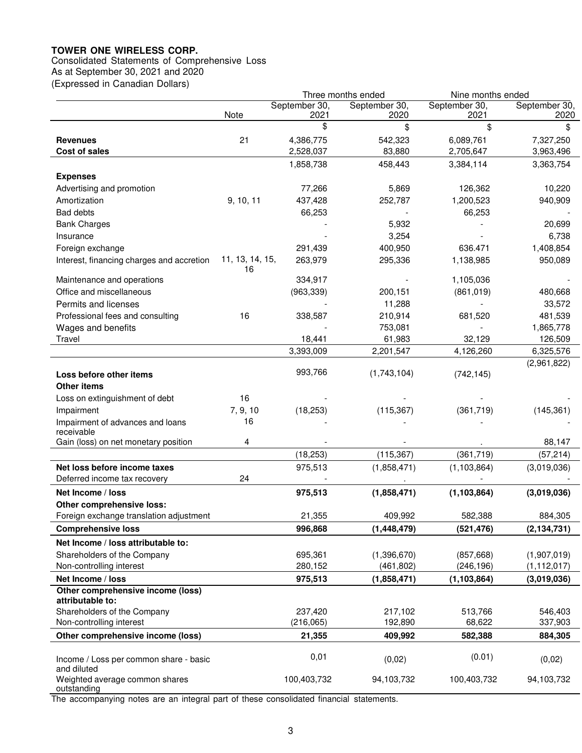Consolidated Statements of Comprehensive Loss

As at September 30, 2021 and 2020 (Expressed in Canadian Dollars)

|                                                       |                       |                       | Three months ended    | Nine months ended     |                       |
|-------------------------------------------------------|-----------------------|-----------------------|-----------------------|-----------------------|-----------------------|
|                                                       | Note                  | September 30,<br>2021 | September 30,<br>2020 | September 30,<br>2021 | September 30,<br>2020 |
|                                                       |                       | \$                    | \$                    | \$                    | \$                    |
| <b>Revenues</b>                                       | 21                    | 4,386,775             | 542,323               | 6,089,761             | 7,327,250             |
| <b>Cost of sales</b>                                  |                       | 2,528,037             | 83,880                | 2,705,647             | 3,963,496             |
|                                                       |                       | 1,858,738             | 458,443               | 3,384,114             | 3,363,754             |
| <b>Expenses</b>                                       |                       |                       |                       |                       |                       |
| Advertising and promotion                             |                       | 77,266                | 5,869                 | 126,362               | 10,220                |
| Amortization                                          | 9, 10, 11             | 437,428               | 252,787               | 1,200,523             | 940,909               |
| <b>Bad debts</b>                                      |                       | 66,253                |                       | 66,253                |                       |
| <b>Bank Charges</b>                                   |                       |                       | 5,932                 |                       | 20,699                |
| Insurance                                             |                       |                       | 3,254                 |                       | 6,738                 |
| Foreign exchange                                      |                       | 291,439               | 400,950               | 636.471               | 1,408,854             |
| Interest, financing charges and accretion             | 11, 13, 14, 15,<br>16 | 263,979               | 295,336               | 1,138,985             | 950,089               |
| Maintenance and operations                            |                       | 334,917               |                       | 1,105,036             |                       |
| Office and miscellaneous                              |                       | (963, 339)            | 200,151               | (861, 019)            | 480,668               |
| Permits and licenses                                  |                       |                       | 11,288                |                       | 33,572                |
| Professional fees and consulting                      | 16                    | 338,587               | 210,914               | 681,520               | 481,539               |
| Wages and benefits                                    |                       |                       | 753,081               |                       | 1,865,778             |
| Travel                                                |                       | 18,441                | 61,983                | 32,129                | 126,509               |
|                                                       |                       | 3,393,009             | 2,201,547             | 4,126,260             | 6,325,576             |
|                                                       |                       |                       |                       |                       | (2,961,822)           |
| Loss before other items                               |                       | 993,766               | (1,743,104)           | (742, 145)            |                       |
| <b>Other items</b>                                    |                       |                       |                       |                       |                       |
| Loss on extinguishment of debt                        | 16                    |                       |                       |                       |                       |
| Impairment                                            | 7, 9, 10              | (18, 253)             | (115, 367)            | (361, 719)            | (145, 361)            |
| Impairment of advances and loans<br>receivable        | 16                    |                       |                       |                       |                       |
| Gain (loss) on net monetary position                  | 4                     |                       |                       |                       | 88,147                |
|                                                       |                       | (18, 253)             | (115, 367)            | (361, 719)            | (57, 214)             |
| Net loss before income taxes                          |                       | 975,513               | (1,858,471)           | (1, 103, 864)         | (3,019,036)           |
| Deferred income tax recovery                          | 24                    |                       |                       |                       |                       |
| Net Income / loss                                     |                       | 975,513               | (1,858,471)           | (1, 103, 864)         | (3,019,036)           |
| Other comprehensive loss:                             |                       |                       |                       |                       |                       |
| Foreign exchange translation adjustment               |                       | 21,355                | 409,992               | 582,388               | 884,305               |
| <b>Comprehensive loss</b>                             |                       | 996,868               | (1,448,479)           | (521, 476)            | (2, 134, 731)         |
| Net Income / loss attributable to:                    |                       |                       |                       |                       |                       |
| Shareholders of the Company                           |                       | 695,361               | (1,396,670)           | (857, 668)            | (1,907,019)           |
| Non-controlling interest                              |                       | 280,152               | (461, 802)            | (246, 196)            | (1, 112, 017)         |
| Net Income / loss                                     |                       | 975,513               | (1,858,471)           | (1, 103, 864)         | (3,019,036)           |
| Other comprehensive income (loss)<br>attributable to: |                       |                       |                       |                       |                       |
| Shareholders of the Company                           |                       | 237,420               | 217,102               | 513,766               | 546.403               |
| Non-controlling interest                              |                       | (216, 065)            | 192,890               | 68,622                | 337,903               |
| Other comprehensive income (loss)                     |                       | 21,355                | 409,992               | 582,388               | 884,305               |
|                                                       |                       |                       |                       |                       |                       |
| Income / Loss per common share - basic<br>and diluted |                       | 0,01                  | (0,02)                | (0.01)                | (0,02)                |
| Weighted average common shares<br>outstanding         |                       | 100,403,732           | 94,103,732            | 100,403,732           | 94,103,732            |

The accompanying notes are an integral part of these consolidated financial statements.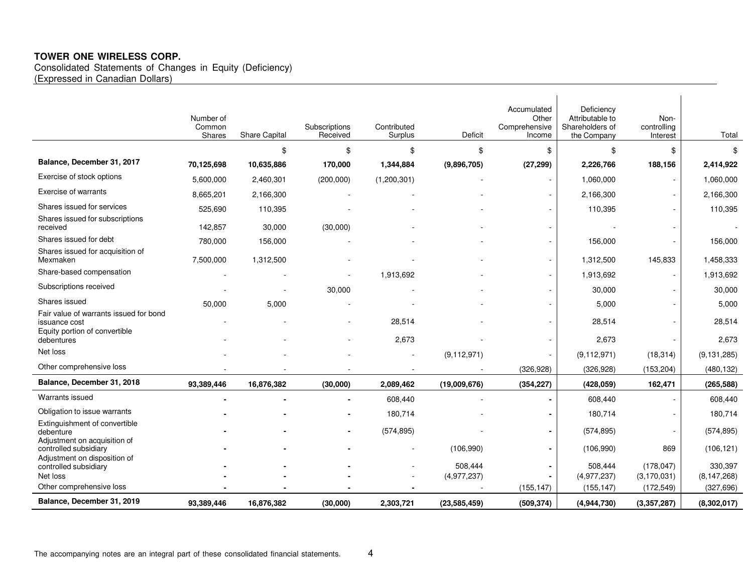Consolidated Statements of Changes in Equity (Deficiency) (Expressed in Canadian Dollars)

|                                                                                          | Number of<br>Common<br>Shares | <b>Share Capital</b> | Subscriptions<br>Received | Contributed<br>Surplus | Deficit                | Accumulated<br>Other<br>Comprehensive<br>Income | Deficiency<br>Attributable to<br>Shareholders of<br>the Company | Non-<br>controlling<br>Interest | Total                    |
|------------------------------------------------------------------------------------------|-------------------------------|----------------------|---------------------------|------------------------|------------------------|-------------------------------------------------|-----------------------------------------------------------------|---------------------------------|--------------------------|
|                                                                                          |                               | \$                   | \$                        | \$                     | \$                     | \$                                              | \$                                                              | \$                              | \$                       |
| Balance, December 31, 2017                                                               | 70,125,698                    | 10,635,886           | 170,000                   | 1,344,884              | (9,896,705)            | (27, 299)                                       | 2,226,766                                                       | 188,156                         | 2,414,922                |
| Exercise of stock options                                                                | 5,600,000                     | 2,460,301            | (200,000)                 | (1,200,301)            |                        |                                                 | 1,060,000                                                       |                                 | 1,060,000                |
| Exercise of warrants                                                                     | 8,665,201                     | 2,166,300            |                           |                        |                        |                                                 | 2,166,300                                                       |                                 | 2,166,300                |
| Shares issued for services                                                               | 525,690                       | 110,395              |                           |                        |                        |                                                 | 110,395                                                         |                                 | 110,395                  |
| Shares issued for subscriptions<br>received                                              | 142,857                       | 30,000               | (30,000)                  |                        |                        |                                                 |                                                                 |                                 |                          |
| Shares issued for debt                                                                   | 780,000                       | 156,000              |                           |                        |                        |                                                 | 156,000                                                         |                                 | 156,000                  |
| Shares issued for acquisition of<br>Mexmaken                                             | 7,500,000                     | 1,312,500            |                           |                        |                        |                                                 | 1,312,500                                                       | 145,833                         | 1,458,333                |
| Share-based compensation                                                                 |                               |                      |                           | 1,913,692              |                        |                                                 | 1,913,692                                                       |                                 | 1,913,692                |
| Subscriptions received                                                                   |                               |                      | 30,000                    |                        |                        |                                                 | 30,000                                                          |                                 | 30,000                   |
| Shares issued                                                                            | 50,000                        | 5,000                |                           |                        |                        |                                                 | 5,000                                                           |                                 | 5,000                    |
| Fair value of warrants issued for bond<br>issuance cost<br>Equity portion of convertible |                               |                      |                           | 28,514                 |                        |                                                 | 28,514                                                          |                                 | 28,514                   |
| debentures                                                                               |                               |                      |                           | 2,673                  |                        |                                                 | 2,673                                                           |                                 | 2,673                    |
| Net loss                                                                                 |                               |                      |                           |                        | (9, 112, 971)          |                                                 | (9, 112, 971)                                                   | (18, 314)                       | (9, 131, 285)            |
| Other comprehensive loss                                                                 |                               |                      |                           |                        |                        | (326, 928)                                      | (326, 928)                                                      | (153, 204)                      | (480, 132)               |
| Balance, December 31, 2018                                                               | 93,389,446                    | 16,876,382           | (30,000)                  | 2,089,462              | (19,009,676)           | (354, 227)                                      | (428, 059)                                                      | 162,471                         | (265, 588)               |
| Warrants issued                                                                          |                               |                      | $\blacksquare$            | 608,440                |                        |                                                 | 608,440                                                         |                                 | 608,440                  |
| Obligation to issue warrants                                                             |                               |                      |                           | 180,714                |                        |                                                 | 180,714                                                         |                                 | 180,714                  |
| Extinguishment of convertible<br>debenture                                               |                               |                      | $\blacksquare$            | (574, 895)             |                        |                                                 | (574, 895)                                                      |                                 | (574, 895)               |
| Adjustment on acquisition of<br>controlled subsidiary<br>Adjustment on disposition of    |                               |                      |                           |                        | (106,990)              |                                                 | (106,990)                                                       | 869                             | (106, 121)               |
| controlled subsidiary<br>Net loss                                                        |                               |                      |                           |                        | 508,444<br>(4,977,237) |                                                 | 508,444<br>(4,977,237)                                          | (178, 047)<br>(3, 170, 031)     | 330,397<br>(8, 147, 268) |
| Other comprehensive loss                                                                 |                               |                      |                           |                        |                        | (155, 147)                                      | (155, 147)                                                      | (172, 549)                      | (327, 696)               |
| Balance, December 31, 2019                                                               | 93,389,446                    | 16,876,382           | (30,000)                  | 2,303,721              | (23, 585, 459)         | (509, 374)                                      | (4,944,730)                                                     | (3,357,287)                     | (8,302,017)              |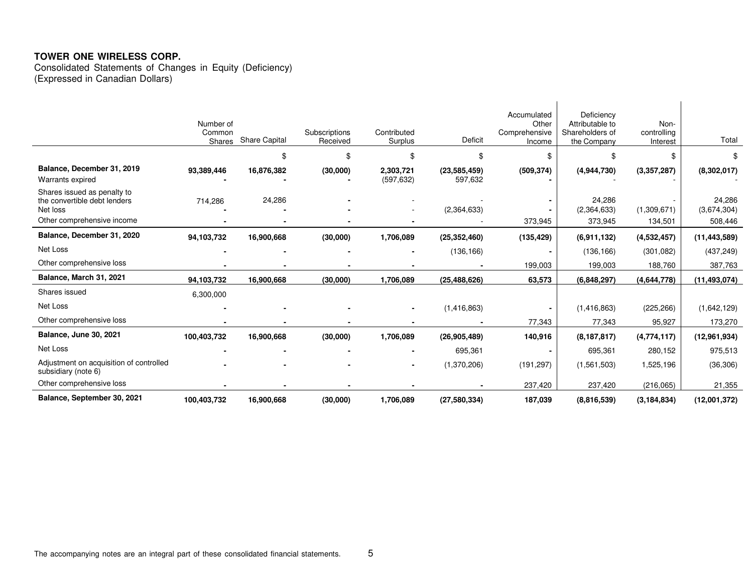Consolidated Statements of Changes in Equity (Deficiency) (Expressed in Canadian Dollars)

|                                                                                                       | Number of<br>Common<br>Shares | Share Capital | Subscriptions<br>Received | Contributed<br>Surplus  | Deficit                   | Accumulated<br>Other<br>Comprehensive<br>Income | Deficiency<br>Attributable to<br>Shareholders of<br>the Company | Non-<br>controlling<br>Interest | Total                            |
|-------------------------------------------------------------------------------------------------------|-------------------------------|---------------|---------------------------|-------------------------|---------------------------|-------------------------------------------------|-----------------------------------------------------------------|---------------------------------|----------------------------------|
|                                                                                                       |                               | \$            | \$                        | \$.                     | \$                        | \$                                              | \$                                                              | \$                              | \$                               |
| Balance, December 31, 2019<br>Warrants expired                                                        | 93,389,446                    | 16,876,382    | (30,000)                  | 2,303,721<br>(597, 632) | (23, 585, 459)<br>597,632 | (509, 374)                                      | (4,944,730)                                                     | (3,357,287)                     | (8,302,017)                      |
| Shares issued as penalty to<br>the convertible debt lenders<br>Net loss<br>Other comprehensive income | 714,286                       | 24,286        |                           |                         | (2,364,633)               | 373,945                                         | 24,286<br>(2,364,633)<br>373,945                                | (1,309,671)<br>134,501          | 24,286<br>(3,674,304)<br>508,446 |
| Balance, December 31, 2020                                                                            | 94,103,732                    | 16,900,668    | (30,000)                  | 1,706,089               | (25, 352, 460)            | (135, 429)                                      | (6,911,132)                                                     | (4,532,457)                     | (11, 443, 589)                   |
| Net Loss                                                                                              |                               |               |                           |                         | (136, 166)                |                                                 | (136, 166)                                                      | (301, 082)                      | (437, 249)                       |
| Other comprehensive loss                                                                              |                               |               |                           |                         |                           | 199,003                                         | 199,003                                                         | 188,760                         | 387,763                          |
| Balance, March 31, 2021                                                                               | 94,103,732                    | 16,900,668    | (30,000)                  | 1,706,089               | (25, 488, 626)            | 63,573                                          | (6,848,297)                                                     | (4,644,778)                     | (11,493,074)                     |
| Shares issued                                                                                         | 6,300,000                     |               |                           |                         |                           |                                                 |                                                                 |                                 |                                  |
| Net Loss                                                                                              |                               |               |                           |                         | (1,416,863)               |                                                 | (1, 416, 863)                                                   | (225, 266)                      | (1,642,129)                      |
| Other comprehensive loss                                                                              |                               |               |                           |                         |                           | 77,343                                          | 77,343                                                          | 95,927                          | 173,270                          |
| Balance, June 30, 2021                                                                                | 100,403,732                   | 16,900,668    | (30,000)                  | 1,706,089               | (26, 905, 489)            | 140,916                                         | (8, 187, 817)                                                   | (4,774,117)                     | (12,961,934)                     |
| Net Loss                                                                                              |                               |               |                           |                         | 695,361                   |                                                 | 695,361                                                         | 280,152                         | 975,513                          |
| Adjustment on acquisition of controlled<br>subsidiary (note 6)                                        |                               |               |                           |                         | (1,370,206)               | (191, 297)                                      | (1,561,503)                                                     | 1,525,196                       | (36, 306)                        |
| Other comprehensive loss                                                                              |                               |               |                           |                         |                           | 237,420                                         | 237,420                                                         | (216,065)                       | 21,355                           |
| Balance, September 30, 2021                                                                           | 100,403,732                   | 16,900,668    | (30,000)                  | 1,706,089               | (27, 580, 334)            | 187,039                                         | (8,816,539)                                                     | (3, 184, 834)                   | (12,001,372)                     |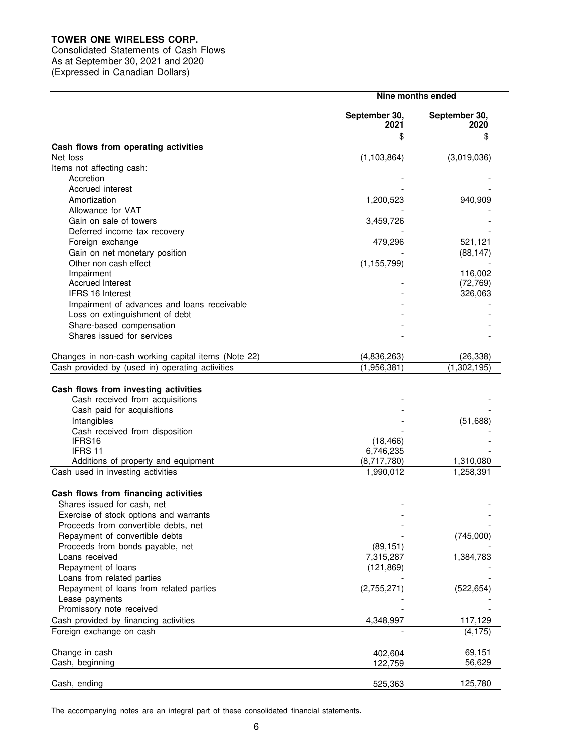Consolidated Statements of Cash Flows As at September 30, 2021 and 2020 (Expressed in Canadian Dollars)

| September 30,<br>September 30,<br>2021<br>2020<br>\$<br>\$<br>Cash flows from operating activities<br>(1, 103, 864)<br>(3,019,036)<br>Net loss<br>Items not affecting cash:<br>Accretion<br>Accrued interest<br>940,909<br>Amortization<br>1,200,523<br>Allowance for VAT<br>Gain on sale of towers<br>3,459,726<br>Deferred income tax recovery<br>479,296<br>521,121<br>Foreign exchange<br>Gain on net monetary position<br>(88, 147)<br>Other non cash effect<br>(1, 155, 799)<br>116,002<br>Impairment<br><b>Accrued Interest</b><br>(72, 769)<br><b>IFRS 16 Interest</b><br>326,063<br>Impairment of advances and loans receivable<br>Loss on extinguishment of debt<br>Share-based compensation<br>Shares issued for services<br>Changes in non-cash working capital items (Note 22)<br>(4,836,263)<br>(26, 338)<br>Cash provided by (used in) operating activities<br>(1,956,381)<br>(1,302,195)<br>Cash flows from investing activities<br>Cash received from acquisitions<br>Cash paid for acquisitions<br>Intangibles<br>(51,688)<br>Cash received from disposition<br>(18, 466)<br>IFRS16<br>IFRS 11<br>6,746,235<br>(8,717,780)<br>Additions of property and equipment<br>1,310,080<br>Cash used in investing activities<br>1,990,012<br>1,258,391<br>Cash flows from financing activities<br>Shares issued for cash, net<br>Exercise of stock options and warrants<br>Proceeds from convertible debts, net<br>Repayment of convertible debts<br>(745,000)<br>Proceeds from bonds payable, net<br>(89, 151)<br>Loans received<br>7,315,287<br>1,384,783<br>Repayment of loans<br>(121, 869)<br>Loans from related parties<br>Repayment of loans from related parties<br>(2,755,271)<br>(522, 654)<br>Lease payments<br>Promissory note received<br>Cash provided by financing activities<br>117,129<br>4,348,997<br>Foreign exchange on cash<br>(4, 175)<br>Change in cash<br>69,151<br>402,604<br>Cash, beginning<br>56,629<br>122,759<br>125,780<br>Cash, ending<br>525,363 | Nine months ended |  |  |
|--------------------------------------------------------------------------------------------------------------------------------------------------------------------------------------------------------------------------------------------------------------------------------------------------------------------------------------------------------------------------------------------------------------------------------------------------------------------------------------------------------------------------------------------------------------------------------------------------------------------------------------------------------------------------------------------------------------------------------------------------------------------------------------------------------------------------------------------------------------------------------------------------------------------------------------------------------------------------------------------------------------------------------------------------------------------------------------------------------------------------------------------------------------------------------------------------------------------------------------------------------------------------------------------------------------------------------------------------------------------------------------------------------------------------------------------------------------------------------------------------------------------------------------------------------------------------------------------------------------------------------------------------------------------------------------------------------------------------------------------------------------------------------------------------------------------------------------------------------------------------------------------------------------------------------------------------------------------------------------------|-------------------|--|--|
|                                                                                                                                                                                                                                                                                                                                                                                                                                                                                                                                                                                                                                                                                                                                                                                                                                                                                                                                                                                                                                                                                                                                                                                                                                                                                                                                                                                                                                                                                                                                                                                                                                                                                                                                                                                                                                                                                                                                                                                            |                   |  |  |
|                                                                                                                                                                                                                                                                                                                                                                                                                                                                                                                                                                                                                                                                                                                                                                                                                                                                                                                                                                                                                                                                                                                                                                                                                                                                                                                                                                                                                                                                                                                                                                                                                                                                                                                                                                                                                                                                                                                                                                                            |                   |  |  |
|                                                                                                                                                                                                                                                                                                                                                                                                                                                                                                                                                                                                                                                                                                                                                                                                                                                                                                                                                                                                                                                                                                                                                                                                                                                                                                                                                                                                                                                                                                                                                                                                                                                                                                                                                                                                                                                                                                                                                                                            |                   |  |  |
|                                                                                                                                                                                                                                                                                                                                                                                                                                                                                                                                                                                                                                                                                                                                                                                                                                                                                                                                                                                                                                                                                                                                                                                                                                                                                                                                                                                                                                                                                                                                                                                                                                                                                                                                                                                                                                                                                                                                                                                            |                   |  |  |
|                                                                                                                                                                                                                                                                                                                                                                                                                                                                                                                                                                                                                                                                                                                                                                                                                                                                                                                                                                                                                                                                                                                                                                                                                                                                                                                                                                                                                                                                                                                                                                                                                                                                                                                                                                                                                                                                                                                                                                                            |                   |  |  |
|                                                                                                                                                                                                                                                                                                                                                                                                                                                                                                                                                                                                                                                                                                                                                                                                                                                                                                                                                                                                                                                                                                                                                                                                                                                                                                                                                                                                                                                                                                                                                                                                                                                                                                                                                                                                                                                                                                                                                                                            |                   |  |  |
|                                                                                                                                                                                                                                                                                                                                                                                                                                                                                                                                                                                                                                                                                                                                                                                                                                                                                                                                                                                                                                                                                                                                                                                                                                                                                                                                                                                                                                                                                                                                                                                                                                                                                                                                                                                                                                                                                                                                                                                            |                   |  |  |
|                                                                                                                                                                                                                                                                                                                                                                                                                                                                                                                                                                                                                                                                                                                                                                                                                                                                                                                                                                                                                                                                                                                                                                                                                                                                                                                                                                                                                                                                                                                                                                                                                                                                                                                                                                                                                                                                                                                                                                                            |                   |  |  |
|                                                                                                                                                                                                                                                                                                                                                                                                                                                                                                                                                                                                                                                                                                                                                                                                                                                                                                                                                                                                                                                                                                                                                                                                                                                                                                                                                                                                                                                                                                                                                                                                                                                                                                                                                                                                                                                                                                                                                                                            |                   |  |  |
|                                                                                                                                                                                                                                                                                                                                                                                                                                                                                                                                                                                                                                                                                                                                                                                                                                                                                                                                                                                                                                                                                                                                                                                                                                                                                                                                                                                                                                                                                                                                                                                                                                                                                                                                                                                                                                                                                                                                                                                            |                   |  |  |
|                                                                                                                                                                                                                                                                                                                                                                                                                                                                                                                                                                                                                                                                                                                                                                                                                                                                                                                                                                                                                                                                                                                                                                                                                                                                                                                                                                                                                                                                                                                                                                                                                                                                                                                                                                                                                                                                                                                                                                                            |                   |  |  |
|                                                                                                                                                                                                                                                                                                                                                                                                                                                                                                                                                                                                                                                                                                                                                                                                                                                                                                                                                                                                                                                                                                                                                                                                                                                                                                                                                                                                                                                                                                                                                                                                                                                                                                                                                                                                                                                                                                                                                                                            |                   |  |  |
|                                                                                                                                                                                                                                                                                                                                                                                                                                                                                                                                                                                                                                                                                                                                                                                                                                                                                                                                                                                                                                                                                                                                                                                                                                                                                                                                                                                                                                                                                                                                                                                                                                                                                                                                                                                                                                                                                                                                                                                            |                   |  |  |
|                                                                                                                                                                                                                                                                                                                                                                                                                                                                                                                                                                                                                                                                                                                                                                                                                                                                                                                                                                                                                                                                                                                                                                                                                                                                                                                                                                                                                                                                                                                                                                                                                                                                                                                                                                                                                                                                                                                                                                                            |                   |  |  |
|                                                                                                                                                                                                                                                                                                                                                                                                                                                                                                                                                                                                                                                                                                                                                                                                                                                                                                                                                                                                                                                                                                                                                                                                                                                                                                                                                                                                                                                                                                                                                                                                                                                                                                                                                                                                                                                                                                                                                                                            |                   |  |  |
|                                                                                                                                                                                                                                                                                                                                                                                                                                                                                                                                                                                                                                                                                                                                                                                                                                                                                                                                                                                                                                                                                                                                                                                                                                                                                                                                                                                                                                                                                                                                                                                                                                                                                                                                                                                                                                                                                                                                                                                            |                   |  |  |
|                                                                                                                                                                                                                                                                                                                                                                                                                                                                                                                                                                                                                                                                                                                                                                                                                                                                                                                                                                                                                                                                                                                                                                                                                                                                                                                                                                                                                                                                                                                                                                                                                                                                                                                                                                                                                                                                                                                                                                                            |                   |  |  |
|                                                                                                                                                                                                                                                                                                                                                                                                                                                                                                                                                                                                                                                                                                                                                                                                                                                                                                                                                                                                                                                                                                                                                                                                                                                                                                                                                                                                                                                                                                                                                                                                                                                                                                                                                                                                                                                                                                                                                                                            |                   |  |  |
|                                                                                                                                                                                                                                                                                                                                                                                                                                                                                                                                                                                                                                                                                                                                                                                                                                                                                                                                                                                                                                                                                                                                                                                                                                                                                                                                                                                                                                                                                                                                                                                                                                                                                                                                                                                                                                                                                                                                                                                            |                   |  |  |
|                                                                                                                                                                                                                                                                                                                                                                                                                                                                                                                                                                                                                                                                                                                                                                                                                                                                                                                                                                                                                                                                                                                                                                                                                                                                                                                                                                                                                                                                                                                                                                                                                                                                                                                                                                                                                                                                                                                                                                                            |                   |  |  |
|                                                                                                                                                                                                                                                                                                                                                                                                                                                                                                                                                                                                                                                                                                                                                                                                                                                                                                                                                                                                                                                                                                                                                                                                                                                                                                                                                                                                                                                                                                                                                                                                                                                                                                                                                                                                                                                                                                                                                                                            |                   |  |  |
|                                                                                                                                                                                                                                                                                                                                                                                                                                                                                                                                                                                                                                                                                                                                                                                                                                                                                                                                                                                                                                                                                                                                                                                                                                                                                                                                                                                                                                                                                                                                                                                                                                                                                                                                                                                                                                                                                                                                                                                            |                   |  |  |
|                                                                                                                                                                                                                                                                                                                                                                                                                                                                                                                                                                                                                                                                                                                                                                                                                                                                                                                                                                                                                                                                                                                                                                                                                                                                                                                                                                                                                                                                                                                                                                                                                                                                                                                                                                                                                                                                                                                                                                                            |                   |  |  |
|                                                                                                                                                                                                                                                                                                                                                                                                                                                                                                                                                                                                                                                                                                                                                                                                                                                                                                                                                                                                                                                                                                                                                                                                                                                                                                                                                                                                                                                                                                                                                                                                                                                                                                                                                                                                                                                                                                                                                                                            |                   |  |  |
|                                                                                                                                                                                                                                                                                                                                                                                                                                                                                                                                                                                                                                                                                                                                                                                                                                                                                                                                                                                                                                                                                                                                                                                                                                                                                                                                                                                                                                                                                                                                                                                                                                                                                                                                                                                                                                                                                                                                                                                            |                   |  |  |
|                                                                                                                                                                                                                                                                                                                                                                                                                                                                                                                                                                                                                                                                                                                                                                                                                                                                                                                                                                                                                                                                                                                                                                                                                                                                                                                                                                                                                                                                                                                                                                                                                                                                                                                                                                                                                                                                                                                                                                                            |                   |  |  |
|                                                                                                                                                                                                                                                                                                                                                                                                                                                                                                                                                                                                                                                                                                                                                                                                                                                                                                                                                                                                                                                                                                                                                                                                                                                                                                                                                                                                                                                                                                                                                                                                                                                                                                                                                                                                                                                                                                                                                                                            |                   |  |  |
|                                                                                                                                                                                                                                                                                                                                                                                                                                                                                                                                                                                                                                                                                                                                                                                                                                                                                                                                                                                                                                                                                                                                                                                                                                                                                                                                                                                                                                                                                                                                                                                                                                                                                                                                                                                                                                                                                                                                                                                            |                   |  |  |
|                                                                                                                                                                                                                                                                                                                                                                                                                                                                                                                                                                                                                                                                                                                                                                                                                                                                                                                                                                                                                                                                                                                                                                                                                                                                                                                                                                                                                                                                                                                                                                                                                                                                                                                                                                                                                                                                                                                                                                                            |                   |  |  |
|                                                                                                                                                                                                                                                                                                                                                                                                                                                                                                                                                                                                                                                                                                                                                                                                                                                                                                                                                                                                                                                                                                                                                                                                                                                                                                                                                                                                                                                                                                                                                                                                                                                                                                                                                                                                                                                                                                                                                                                            |                   |  |  |
|                                                                                                                                                                                                                                                                                                                                                                                                                                                                                                                                                                                                                                                                                                                                                                                                                                                                                                                                                                                                                                                                                                                                                                                                                                                                                                                                                                                                                                                                                                                                                                                                                                                                                                                                                                                                                                                                                                                                                                                            |                   |  |  |
|                                                                                                                                                                                                                                                                                                                                                                                                                                                                                                                                                                                                                                                                                                                                                                                                                                                                                                                                                                                                                                                                                                                                                                                                                                                                                                                                                                                                                                                                                                                                                                                                                                                                                                                                                                                                                                                                                                                                                                                            |                   |  |  |
|                                                                                                                                                                                                                                                                                                                                                                                                                                                                                                                                                                                                                                                                                                                                                                                                                                                                                                                                                                                                                                                                                                                                                                                                                                                                                                                                                                                                                                                                                                                                                                                                                                                                                                                                                                                                                                                                                                                                                                                            |                   |  |  |
|                                                                                                                                                                                                                                                                                                                                                                                                                                                                                                                                                                                                                                                                                                                                                                                                                                                                                                                                                                                                                                                                                                                                                                                                                                                                                                                                                                                                                                                                                                                                                                                                                                                                                                                                                                                                                                                                                                                                                                                            |                   |  |  |
|                                                                                                                                                                                                                                                                                                                                                                                                                                                                                                                                                                                                                                                                                                                                                                                                                                                                                                                                                                                                                                                                                                                                                                                                                                                                                                                                                                                                                                                                                                                                                                                                                                                                                                                                                                                                                                                                                                                                                                                            |                   |  |  |
|                                                                                                                                                                                                                                                                                                                                                                                                                                                                                                                                                                                                                                                                                                                                                                                                                                                                                                                                                                                                                                                                                                                                                                                                                                                                                                                                                                                                                                                                                                                                                                                                                                                                                                                                                                                                                                                                                                                                                                                            |                   |  |  |
|                                                                                                                                                                                                                                                                                                                                                                                                                                                                                                                                                                                                                                                                                                                                                                                                                                                                                                                                                                                                                                                                                                                                                                                                                                                                                                                                                                                                                                                                                                                                                                                                                                                                                                                                                                                                                                                                                                                                                                                            |                   |  |  |
|                                                                                                                                                                                                                                                                                                                                                                                                                                                                                                                                                                                                                                                                                                                                                                                                                                                                                                                                                                                                                                                                                                                                                                                                                                                                                                                                                                                                                                                                                                                                                                                                                                                                                                                                                                                                                                                                                                                                                                                            |                   |  |  |
|                                                                                                                                                                                                                                                                                                                                                                                                                                                                                                                                                                                                                                                                                                                                                                                                                                                                                                                                                                                                                                                                                                                                                                                                                                                                                                                                                                                                                                                                                                                                                                                                                                                                                                                                                                                                                                                                                                                                                                                            |                   |  |  |
|                                                                                                                                                                                                                                                                                                                                                                                                                                                                                                                                                                                                                                                                                                                                                                                                                                                                                                                                                                                                                                                                                                                                                                                                                                                                                                                                                                                                                                                                                                                                                                                                                                                                                                                                                                                                                                                                                                                                                                                            |                   |  |  |
|                                                                                                                                                                                                                                                                                                                                                                                                                                                                                                                                                                                                                                                                                                                                                                                                                                                                                                                                                                                                                                                                                                                                                                                                                                                                                                                                                                                                                                                                                                                                                                                                                                                                                                                                                                                                                                                                                                                                                                                            |                   |  |  |
|                                                                                                                                                                                                                                                                                                                                                                                                                                                                                                                                                                                                                                                                                                                                                                                                                                                                                                                                                                                                                                                                                                                                                                                                                                                                                                                                                                                                                                                                                                                                                                                                                                                                                                                                                                                                                                                                                                                                                                                            |                   |  |  |
|                                                                                                                                                                                                                                                                                                                                                                                                                                                                                                                                                                                                                                                                                                                                                                                                                                                                                                                                                                                                                                                                                                                                                                                                                                                                                                                                                                                                                                                                                                                                                                                                                                                                                                                                                                                                                                                                                                                                                                                            |                   |  |  |
|                                                                                                                                                                                                                                                                                                                                                                                                                                                                                                                                                                                                                                                                                                                                                                                                                                                                                                                                                                                                                                                                                                                                                                                                                                                                                                                                                                                                                                                                                                                                                                                                                                                                                                                                                                                                                                                                                                                                                                                            |                   |  |  |
|                                                                                                                                                                                                                                                                                                                                                                                                                                                                                                                                                                                                                                                                                                                                                                                                                                                                                                                                                                                                                                                                                                                                                                                                                                                                                                                                                                                                                                                                                                                                                                                                                                                                                                                                                                                                                                                                                                                                                                                            |                   |  |  |
|                                                                                                                                                                                                                                                                                                                                                                                                                                                                                                                                                                                                                                                                                                                                                                                                                                                                                                                                                                                                                                                                                                                                                                                                                                                                                                                                                                                                                                                                                                                                                                                                                                                                                                                                                                                                                                                                                                                                                                                            |                   |  |  |
|                                                                                                                                                                                                                                                                                                                                                                                                                                                                                                                                                                                                                                                                                                                                                                                                                                                                                                                                                                                                                                                                                                                                                                                                                                                                                                                                                                                                                                                                                                                                                                                                                                                                                                                                                                                                                                                                                                                                                                                            |                   |  |  |
|                                                                                                                                                                                                                                                                                                                                                                                                                                                                                                                                                                                                                                                                                                                                                                                                                                                                                                                                                                                                                                                                                                                                                                                                                                                                                                                                                                                                                                                                                                                                                                                                                                                                                                                                                                                                                                                                                                                                                                                            |                   |  |  |
|                                                                                                                                                                                                                                                                                                                                                                                                                                                                                                                                                                                                                                                                                                                                                                                                                                                                                                                                                                                                                                                                                                                                                                                                                                                                                                                                                                                                                                                                                                                                                                                                                                                                                                                                                                                                                                                                                                                                                                                            |                   |  |  |
|                                                                                                                                                                                                                                                                                                                                                                                                                                                                                                                                                                                                                                                                                                                                                                                                                                                                                                                                                                                                                                                                                                                                                                                                                                                                                                                                                                                                                                                                                                                                                                                                                                                                                                                                                                                                                                                                                                                                                                                            |                   |  |  |

The accompanying notes are an integral part of these consolidated financial statements.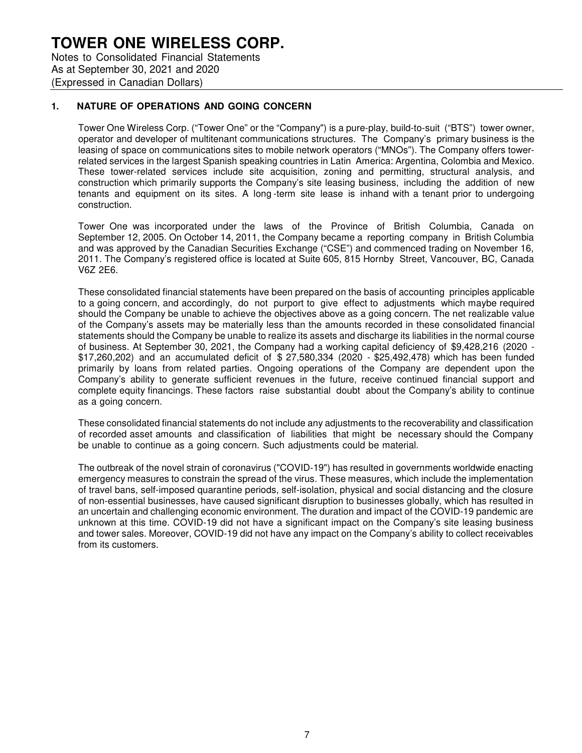## **TOWER ONE WIRELESS CORP.** Notes to Consolidated Financial Statements

As at September 30, 2021 and 2020 (Expressed in Canadian Dollars)

### **1. NATURE OF OPERATIONS AND GOING CONCERN**

Tower One Wireless Corp. ("Tower One" or the "Company") is a pure-play, build-to-suit ("BTS") tower owner, operator and developer of multitenant communications structures. The Company's primary business is the leasing of space on communications sites to mobile network operators ("MNOs"). The Company offers towerrelated services in the largest Spanish speaking countries in Latin America: Argentina, Colombia and Mexico. These tower-related services include site acquisition, zoning and permitting, structural analysis, and construction which primarily supports the Company's site leasing business, including the addition of new tenants and equipment on its sites. A long -term site lease is in hand with a tenant prior to undergoing construction.

Tower One was incorporated under the laws of the Province of British Columbia, Canada on September 12, 2005. On October 14, 2011, the Company became a reporting company in British Columbia and was approved by the Canadian Securities Exchange ("CSE") and commenced trading on November 16, 2011. The Company's registered office is located at Suite 605, 815 Hornby Street, Vancouver, BC, Canada V6Z 2E6.

These consolidated financial statements have been prepared on the basis of accounting principles applicable to a going concern, and accordingly, do not purport to give effect to adjustments which maybe required should the Company be unable to achieve the objectives above as a going concern. The net realizable value of the Company's assets may be materially less than the amounts recorded in these consolidated financial statements should the Company be unable to realize its assets and discharge its liabilities in the normal course of business. At September 30, 2021, the Company had a working capital deficiency of \$9,428,216 (2020 - \$17,260,202) and an accumulated deficit of \$ 27,580,334 (2020 - \$25,492,478) which has been funded primarily by loans from related parties. Ongoing operations of the Company are dependent upon the Company's ability to generate sufficient revenues in the future, receive continued financial support and complete equity financings. These factors raise substantial doubt about the Company's ability to continue as a going concern.

These consolidated financial statements do not include any adjustments to the recoverability and classification of recorded asset amounts and classification of liabilities that might be necessary should the Company be unable to continue as a going concern. Such adjustments could be material.

The outbreak of the novel strain of coronavirus ("COVID-19") has resulted in governments worldwide enacting emergency measures to constrain the spread of the virus. These measures, which include the implementation of travel bans, self-imposed quarantine periods, self-isolation, physical and social distancing and the closure of non-essential businesses, have caused significant disruption to businesses globally, which has resulted in an uncertain and challenging economic environment. The duration and impact of the COVID-19 pandemic are unknown at this time. COVID-19 did not have a significant impact on the Company's site leasing business and tower sales. Moreover, COVID-19 did not have any impact on the Company's ability to collect receivables from its customers.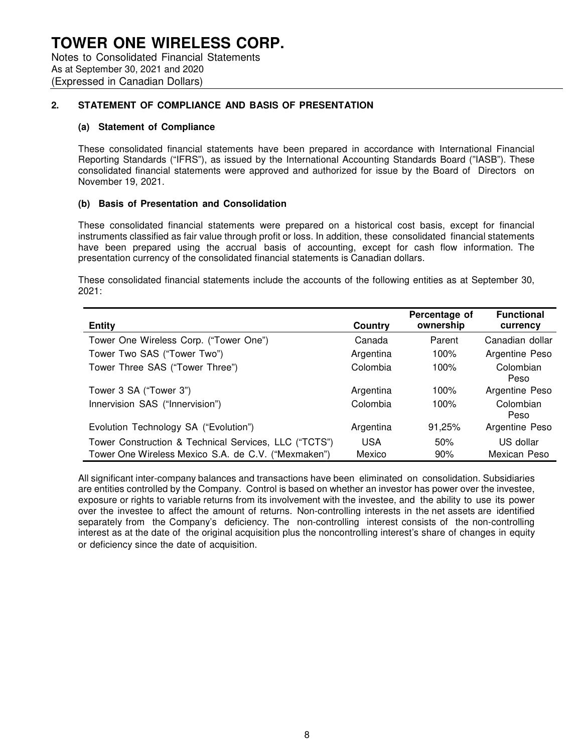Notes to Consolidated Financial Statements As at September 30, 2021 and 2020 (Expressed in Canadian Dollars)

## **2. STATEMENT OF COMPLIANCE AND BASIS OF PRESENTATION**

#### **(a) Statement of Compliance**

These consolidated financial statements have been prepared in accordance with International Financial Reporting Standards ("IFRS"), as issued by the International Accounting Standards Board ("IASB"). These consolidated financial statements were approved and authorized for issue by the Board of Directors on November 19, 2021.

#### **(b) Basis of Presentation and Consolidation**

These consolidated financial statements were prepared on a historical cost basis, except for financial instruments classified as fair value through profit or loss. In addition, these consolidated financial statements have been prepared using the accrual basis of accounting, except for cash flow information. The presentation currency of the consolidated financial statements is Canadian dollars.

These consolidated financial statements include the accounts of the following entities as at September 30, 2021:

| <b>Entity</b>                                         | Country    | Percentage of<br>ownership | <b>Functional</b><br>currency |
|-------------------------------------------------------|------------|----------------------------|-------------------------------|
| Tower One Wireless Corp. ("Tower One")                | Canada     | Parent                     | Canadian dollar               |
| Tower Two SAS ("Tower Two")                           | Argentina  | 100%                       | Argentine Peso                |
| Tower Three SAS ("Tower Three")                       | Colombia   | 100%                       | Colombian<br>Peso             |
| Tower 3 SA ("Tower 3")                                | Argentina  | 100%                       | Argentine Peso                |
| Innervision SAS ("Innervision")                       | Colombia   | 100%                       | Colombian<br>Peso             |
| Evolution Technology SA ("Evolution")                 | Argentina  | 91,25%                     | Argentine Peso                |
| Tower Construction & Technical Services, LLC ("TCTS") | <b>USA</b> | 50%                        | US dollar                     |
| Tower One Wireless Mexico S.A. de C.V. ("Mexmaken")   | Mexico     | 90%                        | Mexican Peso                  |

All significant inter-company balances and transactions have been eliminated on consolidation. Subsidiaries are entities controlled by the Company. Control is based on whether an investor has power over the investee, exposure or rights to variable returns from its involvement with the investee, and the ability to use its power over the investee to affect the amount of returns. Non-controlling interests in the net assets are identified separately from the Company's deficiency. The non-controlling interest consists of the non-controlling interest as at the date of the original acquisition plus the noncontrolling interest's share of changes in equity or deficiency since the date of acquisition.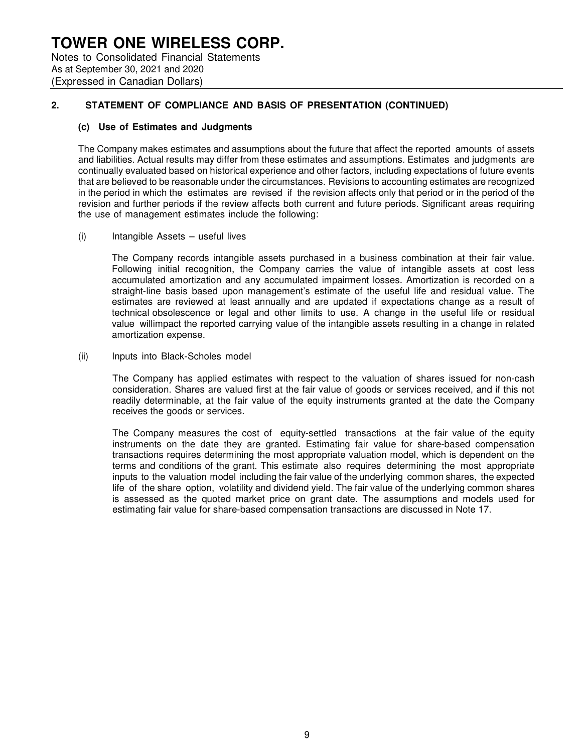Notes to Consolidated Financial Statements As at September 30, 2021 and 2020 (Expressed in Canadian Dollars)

## **2. STATEMENT OF COMPLIANCE AND BASIS OF PRESENTATION (CONTINUED)**

#### **(c) Use of Estimates and Judgments**

The Company makes estimates and assumptions about the future that affect the reported amounts of assets and liabilities. Actual results may differ from these estimates and assumptions. Estimates and judgments are continually evaluated based on historical experience and other factors, including expectations of future events that are believed to be reasonable under the circumstances. Revisions to accounting estimates are recognized in the period in which the estimates are revised if the revision affects only that period or in the period of the revision and further periods if the review affects both current and future periods. Significant areas requiring the use of management estimates include the following:

(i) Intangible Assets – useful lives

The Company records intangible assets purchased in a business combination at their fair value. Following initial recognition, the Company carries the value of intangible assets at cost less accumulated amortization and any accumulated impairment losses. Amortization is recorded on a straight-line basis based upon management's estimate of the useful life and residual value. The estimates are reviewed at least annually and are updated if expectations change as a result of technical obsolescence or legal and other limits to use. A change in the useful life or residual value willimpact the reported carrying value of the intangible assets resulting in a change in related amortization expense.

(ii) Inputs into Black-Scholes model

The Company has applied estimates with respect to the valuation of shares issued for non-cash consideration. Shares are valued first at the fair value of goods or services received, and if this not readily determinable, at the fair value of the equity instruments granted at the date the Company receives the goods or services.

The Company measures the cost of equity-settled transactions at the fair value of the equity instruments on the date they are granted. Estimating fair value for share-based compensation transactions requires determining the most appropriate valuation model, which is dependent on the terms and conditions of the grant. This estimate also requires determining the most appropriate inputs to the valuation model including the fair value of the underlying common shares, the expected life of the share option, volatility and dividend yield. The fair value of the underlying common shares is assessed as the quoted market price on grant date. The assumptions and models used for estimating fair value for share-based compensation transactions are discussed in Note 17.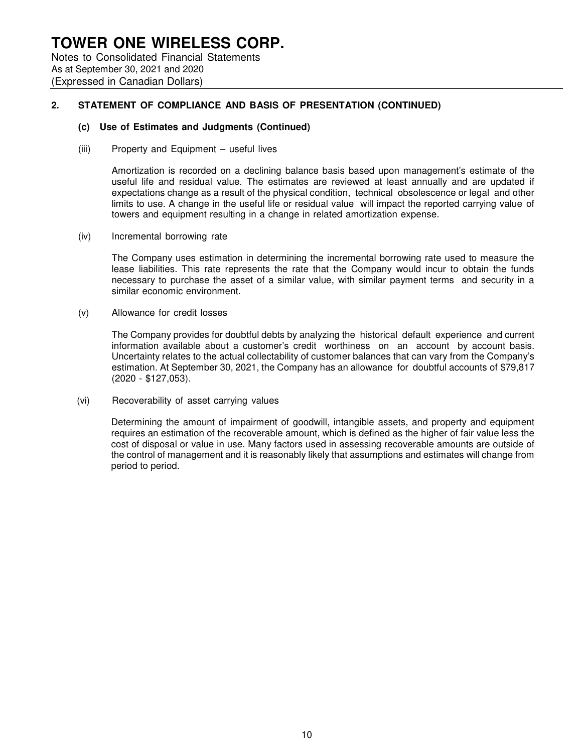## **TOWER ONE WIRELESS CORP.** Notes to Consolidated Financial Statements As at September 30, 2021 and 2020

(Expressed in Canadian Dollars)

### **2. STATEMENT OF COMPLIANCE AND BASIS OF PRESENTATION (CONTINUED)**

#### **(c) Use of Estimates and Judgments (Continued)**

(iii) Property and Equipment – useful lives

Amortization is recorded on a declining balance basis based upon management's estimate of the useful life and residual value. The estimates are reviewed at least annually and are updated if expectations change as a result of the physical condition, technical obsolescence or legal and other limits to use. A change in the useful life or residual value will impact the reported carrying value of towers and equipment resulting in a change in related amortization expense.

(iv) Incremental borrowing rate

The Company uses estimation in determining the incremental borrowing rate used to measure the lease liabilities. This rate represents the rate that the Company would incur to obtain the funds necessary to purchase the asset of a similar value, with similar payment terms and security in a similar economic environment.

(v) Allowance for credit losses

The Company provides for doubtful debts by analyzing the historical default experience and current information available about a customer's credit worthiness on an account by account basis. Uncertainty relates to the actual collectability of customer balances that can vary from the Company's estimation. At September 30, 2021, the Company has an allowance for doubtful accounts of \$79,817 (2020 - \$127,053).

(vi) Recoverability of asset carrying values

Determining the amount of impairment of goodwill, intangible assets, and property and equipment requires an estimation of the recoverable amount, which is defined as the higher of fair value less the cost of disposal or value in use. Many factors used in assessing recoverable amounts are outside of the control of management and it is reasonably likely that assumptions and estimates will change from period to period.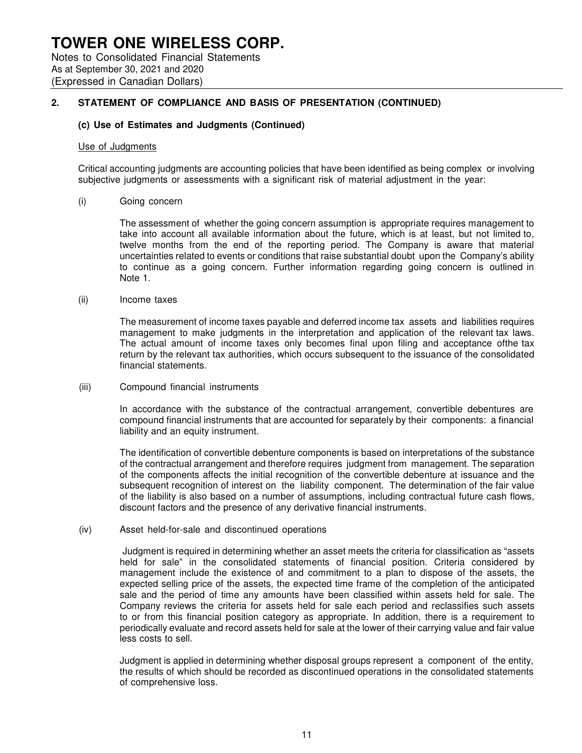### **2. STATEMENT OF COMPLIANCE AND BASIS OF PRESENTATION (CONTINUED)**

#### **(c) Use of Estimates and Judgments (Continued)**

#### Use of Judgments

(Expressed in Canadian Dollars)

Critical accounting judgments are accounting policies that have been identified as being complex or involving subjective judgments or assessments with a significant risk of material adjustment in the year:

(i) Going concern

The assessment of whether the going concern assumption is appropriate requires management to take into account all available information about the future, which is at least, but not limited to, twelve months from the end of the reporting period. The Company is aware that material uncertainties related to events or conditions that raise substantial doubt upon the Company's ability to continue as a going concern. Further information regarding going concern is outlined in Note 1.

#### (ii) Income taxes

The measurement of income taxes payable and deferred income tax assets and liabilities requires management to make judgments in the interpretation and application of the relevant tax laws. The actual amount of income taxes only becomes final upon filing and acceptance of the tax return by the relevant tax authorities, which occurs subsequent to the issuance of the consolidated financial statements.

#### (iii) Compound financial instruments

In accordance with the substance of the contractual arrangement, convertible debentures are compound financial instruments that are accounted for separately by their components: a financial liability and an equity instrument.

The identification of convertible debenture components is based on interpretations of the substance of the contractual arrangement and therefore requires judgment from management. The separation of the components affects the initial recognition of the convertible debenture at issuance and the subsequent recognition of interest on the liability component. The determination of the fair value of the liability is also based on a number of assumptions, including contractual future cash flows, discount factors and the presence of any derivative financial instruments.

#### (iv) Asset held-for-sale and discontinued operations

Judgment is required in determining whether an asset meets the criteria for classification as "assets held for sale" in the consolidated statements of financial position. Criteria considered by management include the existence of and commitment to a plan to dispose of the assets, the expected selling price of the assets, the expected time frame of the completion of the anticipated sale and the period of time any amounts have been classified within assets held for sale. The Company reviews the criteria for assets held for sale each period and reclassifies such assets to or from this financial position category as appropriate. In addition, there is a requirement to periodically evaluate and record assets held for sale at the lower of their carrying value and fair value less costs to sell.

Judgment is applied in determining whether disposal groups represent a component of the entity, the results of which should be recorded as discontinued operations in the consolidated statements of comprehensive loss.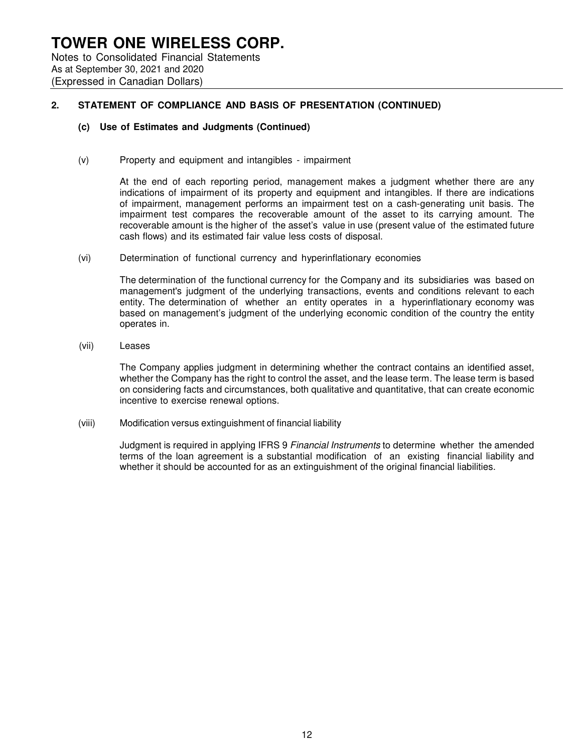## **TOWER ONE WIRELESS CORP.** Notes to Consolidated Financial Statements As at September 30, 2021 and 2020

(Expressed in Canadian Dollars)

## **2. STATEMENT OF COMPLIANCE AND BASIS OF PRESENTATION (CONTINUED)**

#### **(c) Use of Estimates and Judgments (Continued)**

(v) Property and equipment and intangibles - impairment

At the end of each reporting period, management makes a judgment whether there are any indications of impairment of its property and equipment and intangibles. If there are indications of impairment, management performs an impairment test on a cash-generating unit basis. The impairment test compares the recoverable amount of the asset to its carrying amount. The recoverable amount is the higher of the asset's value in use (present value of the estimated future cash flows) and its estimated fair value less costs of disposal.

(vi) Determination of functional currency and hyperinflationary economies

The determination of the functional currency for the Company and its subsidiaries was based on management's judgment of the underlying transactions, events and conditions relevant to each entity. The determination of whether an entity operates in a hyperinflationary economy was based on management's judgment of the underlying economic condition of the country the entity operates in.

(vii) Leases

The Company applies judgment in determining whether the contract contains an identified asset, whether the Company has the right to control the asset, and the lease term. The lease term is based on considering facts and circumstances, both qualitative and quantitative, that can create economic incentive to exercise renewal options.

(viii) Modification versus extinguishment of financial liability

Judgment is required in applying IFRS 9 Financial Instruments to determine whether the amended terms of the loan agreement is a substantial modification of an existing financial liability and whether it should be accounted for as an extinguishment of the original financial liabilities.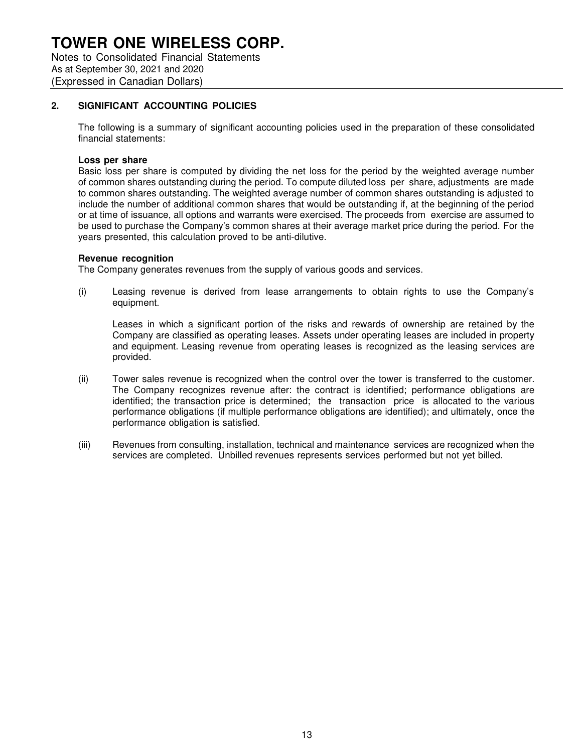Notes to Consolidated Financial Statements As at September 30, 2021 and 2020 (Expressed in Canadian Dollars)

### **2. SIGNIFICANT ACCOUNTING POLICIES**

The following is a summary of significant accounting policies used in the preparation of these consolidated financial statements:

#### **Loss per share**

Basic loss per share is computed by dividing the net loss for the period by the weighted average number of common shares outstanding during the period. To compute diluted loss per share, adjustments are made to common shares outstanding. The weighted average number of common shares outstanding is adjusted to include the number of additional common shares that would be outstanding if, at the beginning of the period or at time of issuance, all options and warrants were exercised. The proceeds from exercise are assumed to be used to purchase the Company's common shares at their average market price during the period. For the years presented, this calculation proved to be anti-dilutive.

#### **Revenue recognition**

The Company generates revenues from the supply of various goods and services.

(i) Leasing revenue is derived from lease arrangements to obtain rights to use the Company's equipment.

Leases in which a significant portion of the risks and rewards of ownership are retained by the Company are classified as operating leases. Assets under operating leases are included in property and equipment. Leasing revenue from operating leases is recognized as the leasing services are provided.

- (ii) Tower sales revenue is recognized when the control over the tower is transferred to the customer. The Company recognizes revenue after: the contract is identified; performance obligations are identified; the transaction price is determined; the transaction price is allocated to the various performance obligations (if multiple performance obligations are identified); and ultimately, once the performance obligation is satisfied.
- (iii) Revenues from consulting, installation, technical and maintenance services are recognized when the services are completed. Unbilled revenues represents services performed but not yet billed.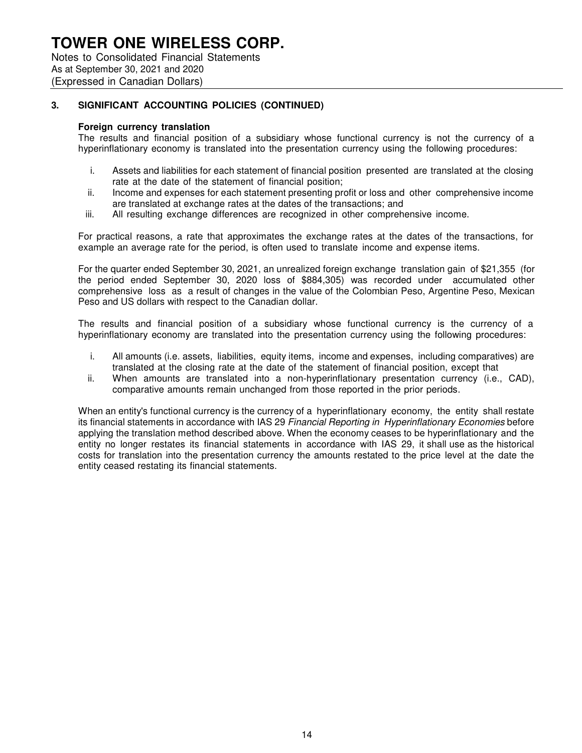Notes to Consolidated Financial Statements As at September 30, 2021 and 2020 (Expressed in Canadian Dollars)

## **3. SIGNIFICANT ACCOUNTING POLICIES (CONTINUED)**

#### **Foreign currency translation**

The results and financial position of a subsidiary whose functional currency is not the currency of a hyperinflationary economy is translated into the presentation currency using the following procedures:

- i. Assets and liabilities for each statement of financial position presented are translated at the closing rate at the date of the statement of financial position;
- ii. Income and expenses for each statement presenting profit or loss and other comprehensive income are translated at exchange rates at the dates of the transactions; and
- iii. All resulting exchange differences are recognized in other comprehensive income.

For practical reasons, a rate that approximates the exchange rates at the dates of the transactions, for example an average rate for the period, is often used to translate income and expense items.

For the quarter ended September 30, 2021, an unrealized foreign exchange translation gain of \$21,355 (for the period ended September 30, 2020 loss of \$884,305) was recorded under accumulated other comprehensive loss as a result of changes in the value of the Colombian Peso, Argentine Peso, Mexican Peso and US dollars with respect to the Canadian dollar.

The results and financial position of a subsidiary whose functional currency is the currency of a hyperinflationary economy are translated into the presentation currency using the following procedures:

- i. All amounts (i.e. assets, liabilities, equity items, income and expenses, including comparatives) are translated at the closing rate at the date of the statement of financial position, except that
- ii. When amounts are translated into a non-hyperinflationary presentation currency (i.e., CAD), comparative amounts remain unchanged from those reported in the prior periods.

When an entity's functional currency is the currency of a hyperinflationary economy, the entity shall restate its financial statements in accordance with IAS 29 Financial Reporting in Hyperinflationary Economies before applying the translation method described above. When the economy ceases to be hyperinflationary and the entity no longer restates its financial statements in accordance with IAS 29, it shall use as the historical costs for translation into the presentation currency the amounts restated to the price level at the date the entity ceased restating its financial statements.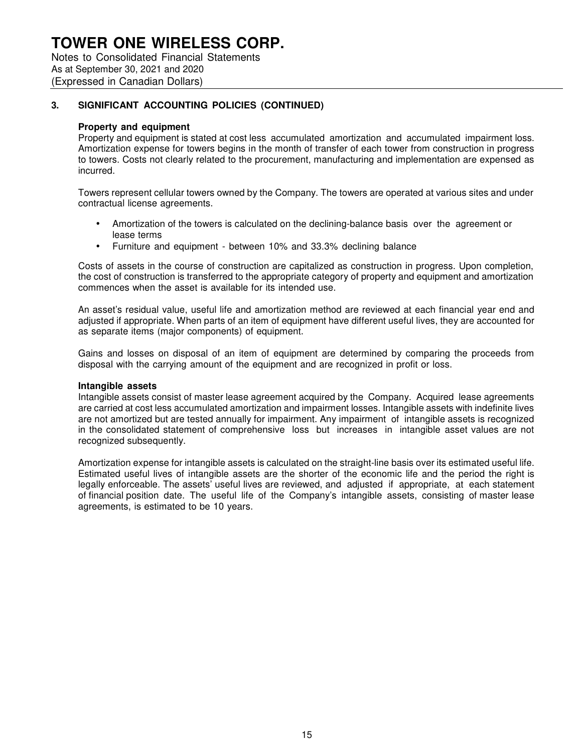Notes to Consolidated Financial Statements As at September 30, 2021 and 2020 (Expressed in Canadian Dollars)

## **3. SIGNIFICANT ACCOUNTING POLICIES (CONTINUED)**

#### **Property and equipment**

Property and equipment is stated at cost less accumulated amortization and accumulated impairment loss. Amortization expense for towers begins in the month of transfer of each tower from construction in progress to towers. Costs not clearly related to the procurement, manufacturing and implementation are expensed as incurred.

Towers represent cellular towers owned by the Company. The towers are operated at various sites and under contractual license agreements.

- Amortization of the towers is calculated on the declining-balance basis over the agreement or lease terms
- Furniture and equipment between 10% and 33.3% declining balance

Costs of assets in the course of construction are capitalized as construction in progress. Upon completion, the cost of construction is transferred to the appropriate category of property and equipment and amortization commences when the asset is available for its intended use.

An asset's residual value, useful life and amortization method are reviewed at each financial year end and adjusted if appropriate. When parts of an item of equipment have different useful lives, they are accounted for as separate items (major components) of equipment.

Gains and losses on disposal of an item of equipment are determined by comparing the proceeds from disposal with the carrying amount of the equipment and are recognized in profit or loss.

#### **Intangible assets**

Intangible assets consist of master lease agreement acquired by the Company. Acquired lease agreements are carried at cost less accumulated amortization and impairment losses. Intangible assets with indefinite lives are not amortized but are tested annually for impairment. Any impairment of intangible assets is recognized in the consolidated statement of comprehensive loss but increases in intangible asset values are not recognized subsequently.

Amortization expense for intangible assets is calculated on the straight-line basis over its estimated useful life. Estimated useful lives of intangible assets are the shorter of the economic life and the period the right is legally enforceable. The assets' useful lives are reviewed, and adjusted if appropriate, at each statement of financial position date. The useful life of the Company's intangible assets, consisting of master lease agreements, is estimated to be 10 years.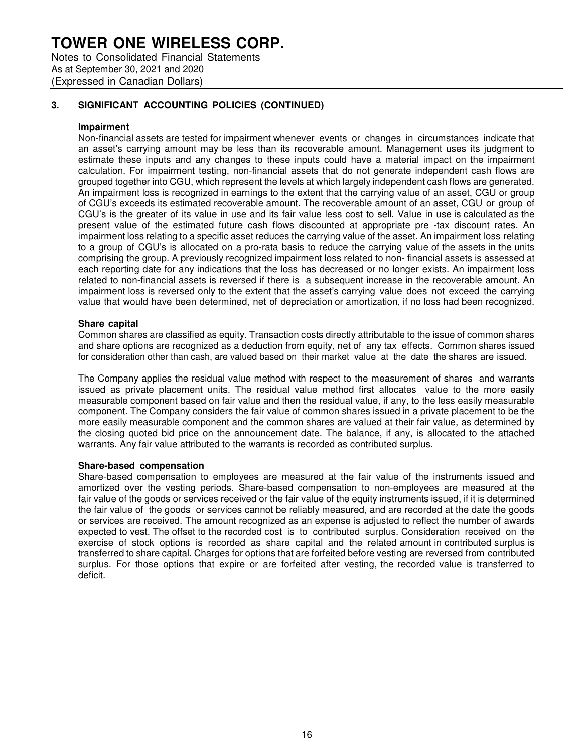Notes to Consolidated Financial Statements As at September 30, 2021 and 2020 (Expressed in Canadian Dollars)

## **3. SIGNIFICANT ACCOUNTING POLICIES (CONTINUED)**

#### **Impairment**

Non-financial assets are tested for impairment whenever events or changes in circumstances indicate that an asset's carrying amount may be less than its recoverable amount. Management uses its judgment to estimate these inputs and any changes to these inputs could have a material impact on the impairment calculation. For impairment testing, non-financial assets that do not generate independent cash flows are grouped together into CGU, which represent the levels at which largely independent cash flows are generated. An impairment loss is recognized in earnings to the extent that the carrying value of an asset, CGU or group of CGU's exceeds its estimated recoverable amount. The recoverable amount of an asset, CGU or group of CGU's is the greater of its value in use and its fair value less cost to sell. Value in use is calculated as the present value of the estimated future cash flows discounted at appropriate pre -tax discount rates. An impairment loss relating to a specific asset reduces the carrying value of the asset. An impairment loss relating to a group of CGU's is allocated on a pro-rata basis to reduce the carrying value of the assets in the units comprising the group. A previously recognized impairment loss related to non- financial assets is assessed at each reporting date for any indications that the loss has decreased or no longer exists. An impairment loss related to non-financial assets is reversed if there is a subsequent increase in the recoverable amount. An impairment loss is reversed only to the extent that the asset's carrying value does not exceed the carrying value that would have been determined, net of depreciation or amortization, if no loss had been recognized.

#### **Share capital**

Common shares are classified as equity. Transaction costs directly attributable to the issue of common shares and share options are recognized as a deduction from equity, net of any tax effects. Common shares issued for consideration other than cash, are valued based on their market value at the date the shares are issued.

The Company applies the residual value method with respect to the measurement of shares and warrants issued as private placement units. The residual value method first allocates value to the more easily measurable component based on fair value and then the residual value, if any, to the less easily measurable component. The Company considers the fair value of common shares issued in a private placement to be the more easily measurable component and the common shares are valued at their fair value, as determined by the closing quoted bid price on the announcement date. The balance, if any, is allocated to the attached warrants. Any fair value attributed to the warrants is recorded as contributed surplus.

#### **Share-based compensation**

Share-based compensation to employees are measured at the fair value of the instruments issued and amortized over the vesting periods. Share-based compensation to non-employees are measured at the fair value of the goods or services received or the fair value of the equity instruments issued, if it is determined the fair value of the goods or services cannot be reliably measured, and are recorded at the date the goods or services are received. The amount recognized as an expense is adjusted to reflect the number of awards expected to vest. The offset to the recorded cost is to contributed surplus. Consideration received on the exercise of stock options is recorded as share capital and the related amount in contributed surplus is transferred to share capital. Charges for options that are forfeited before vesting are reversed from contributed surplus. For those options that expire or are forfeited after vesting, the recorded value is transferred to deficit.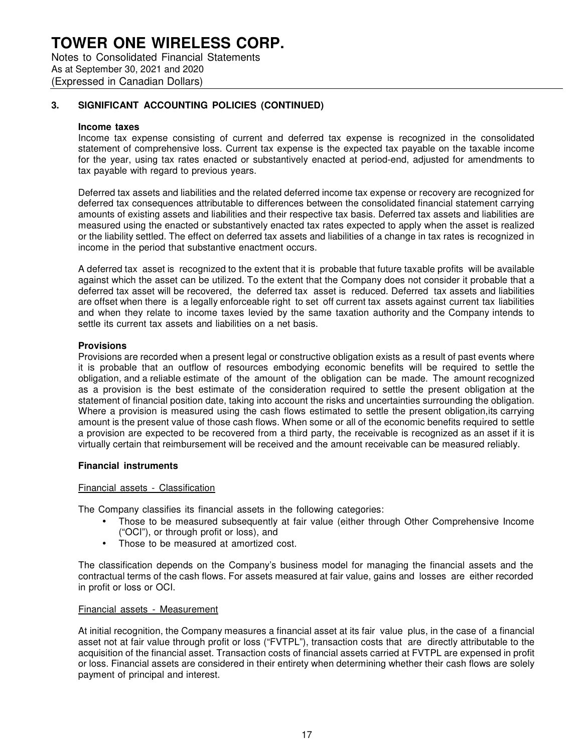Notes to Consolidated Financial Statements As at September 30, 2021 and 2020 (Expressed in Canadian Dollars)

## **3. SIGNIFICANT ACCOUNTING POLICIES (CONTINUED)**

#### **Income taxes**

Income tax expense consisting of current and deferred tax expense is recognized in the consolidated statement of comprehensive loss. Current tax expense is the expected tax payable on the taxable income for the year, using tax rates enacted or substantively enacted at period-end, adjusted for amendments to tax payable with regard to previous years.

Deferred tax assets and liabilities and the related deferred income tax expense or recovery are recognized for deferred tax consequences attributable to differences between the consolidated financial statement carrying amounts of existing assets and liabilities and their respective tax basis. Deferred tax assets and liabilities are measured using the enacted or substantively enacted tax rates expected to apply when the asset is realized or the liability settled. The effect on deferred tax assets and liabilities of a change in tax rates is recognized in income in the period that substantive enactment occurs.

A deferred tax asset is recognized to the extent that it is probable that future taxable profits will be available against which the asset can be utilized. To the extent that the Company does not consider it probable that a deferred tax asset will be recovered, the deferred tax asset is reduced. Deferred tax assets and liabilities are offset when there is a legally enforceable right to set off current tax assets against current tax liabilities and when they relate to income taxes levied by the same taxation authority and the Company intends to settle its current tax assets and liabilities on a net basis.

#### **Provisions**

Provisions are recorded when a present legal or constructive obligation exists as a result of past events where it is probable that an outflow of resources embodying economic benefits will be required to settle the obligation, and a reliable estimate of the amount of the obligation can be made. The amount recognized as a provision is the best estimate of the consideration required to settle the present obligation at the statement of financial position date, taking into account the risks and uncertainties surrounding the obligation. Where a provision is measured using the cash flows estimated to settle the present obligation, its carrying amount is the present value of those cash flows. When some or all of the economic benefits required to settle a provision are expected to be recovered from a third party, the receivable is recognized as an asset if it is virtually certain that reimbursement will be received and the amount receivable can be measured reliably.

#### **Financial instruments**

#### Financial assets - Classification

The Company classifies its financial assets in the following categories:

- Those to be measured subsequently at fair value (either through Other Comprehensive Income ("OCI"), or through profit or loss), and
- Those to be measured at amortized cost.

The classification depends on the Company's business model for managing the financial assets and the contractual terms of the cash flows. For assets measured at fair value, gains and losses are either recorded in profit or loss or OCI.

#### Financial assets - Measurement

At initial recognition, the Company measures a financial asset at its fair value plus, in the case of a financial asset not at fair value through profit or loss ("FVTPL"), transaction costs that are directly attributable to the acquisition of the financial asset. Transaction costs of financial assets carried at FVTPL are expensed in profit or loss. Financial assets are considered in their entirety when determining whether their cash flows are solely payment of principal and interest.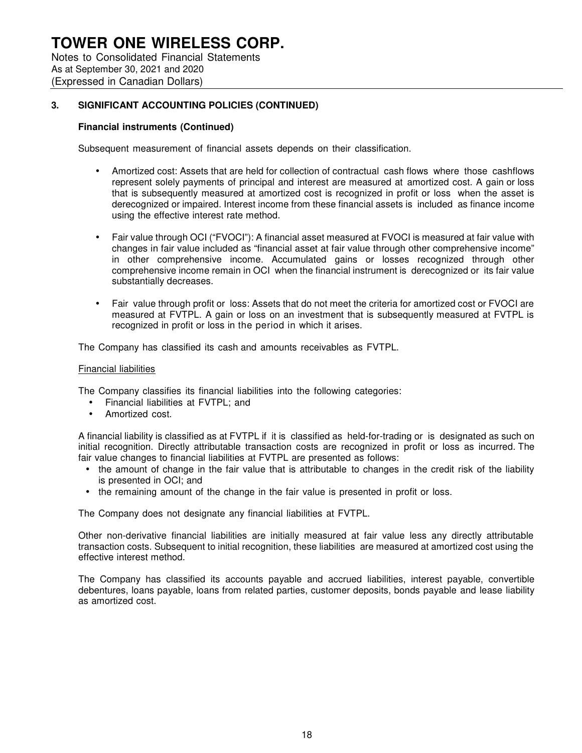Notes to Consolidated Financial Statements As at September 30, 2021 and 2020 (Expressed in Canadian Dollars)

## **3. SIGNIFICANT ACCOUNTING POLICIES (CONTINUED)**

#### **Financial instruments (Continued)**

Subsequent measurement of financial assets depends on their classification.

- Amortized cost: Assets that are held for collection of contractual cash flows where those cashflows represent solely payments of principal and interest are measured at amortized cost. A gain or loss that is subsequently measured at amortized cost is recognized in profit or loss when the asset is derecognized or impaired. Interest income from these financial assets is included as finance income using the effective interest rate method.
- Fair value through OCI ("FVOCI"): A financial asset measured at FVOCI is measured at fair value with changes in fair value included as "financial asset at fair value through other comprehensive income" in other comprehensive income. Accumulated gains or losses recognized through other comprehensive income remain in OCI when the financial instrument is derecognized or its fair value substantially decreases.
- Fair value through profit or loss: Assets that do not meet the criteria for amortized cost or FVOCI are measured at FVTPL. A gain or loss on an investment that is subsequently measured at FVTPL is recognized in profit or loss in the period in which it arises.

The Company has classified its cash and amounts receivables as FVTPL.

#### Financial liabilities

The Company classifies its financial liabilities into the following categories:

- Financial liabilities at FVTPL; and
- Amortized cost.

A financial liability is classified as at FVTPL if it is classified as held-for-trading or is designated as such on initial recognition. Directly attributable transaction costs are recognized in profit or loss as incurred. The fair value changes to financial liabilities at FVTPL are presented as follows:

- the amount of change in the fair value that is attributable to changes in the credit risk of the liability is presented in OCI; and
- the remaining amount of the change in the fair value is presented in profit or loss.

The Company does not designate any financial liabilities at FVTPL.

Other non-derivative financial liabilities are initially measured at fair value less any directly attributable transaction costs. Subsequent to initial recognition, these liabilities are measured at amortized cost using the effective interest method.

The Company has classified its accounts payable and accrued liabilities, interest payable, convertible debentures, loans payable, loans from related parties, customer deposits, bonds payable and lease liability as amortized cost.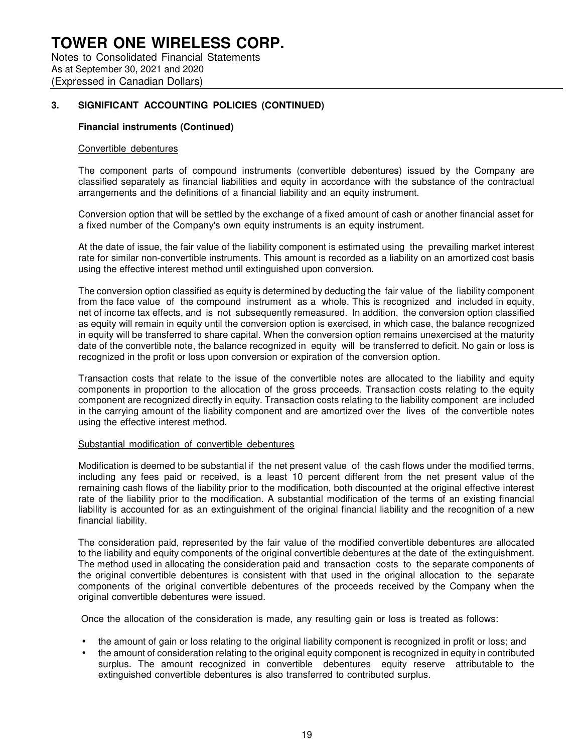## **3. SIGNIFICANT ACCOUNTING POLICIES (CONTINUED)**

#### **Financial instruments (Continued)**

#### Convertible debentures

The component parts of compound instruments (convertible debentures) issued by the Company are classified separately as financial liabilities and equity in accordance with the substance of the contractual arrangements and the definitions of a financial liability and an equity instrument.

Conversion option that will be settled by the exchange of a fixed amount of cash or another financial asset for a fixed number of the Company's own equity instruments is an equity instrument.

At the date of issue, the fair value of the liability component is estimated using the prevailing market interest rate for similar non-convertible instruments. This amount is recorded as a liability on an amortized cost basis using the effective interest method until extinguished upon conversion.

The conversion option classified as equity is determined by deducting the fair value of the liability component from the face value of the compound instrument as a whole. This is recognized and included in equity, net of income tax effects, and is not subsequently remeasured. In addition, the conversion option classified as equity will remain in equity until the conversion option is exercised, in which case, the balance recognized in equity will be transferred to share capital. When the conversion option remains unexercised at the maturity date of the convertible note, the balance recognized in equity will be transferred to deficit. No gain or loss is recognized in the profit or loss upon conversion or expiration of the conversion option.

Transaction costs that relate to the issue of the convertible notes are allocated to the liability and equity components in proportion to the allocation of the gross proceeds. Transaction costs relating to the equity component are recognized directly in equity. Transaction costs relating to the liability component are included in the carrying amount of the liability component and are amortized over the lives of the convertible notes using the effective interest method.

#### Substantial modification of convertible debentures

Modification is deemed to be substantial if the net present value of the cash flows under the modified terms, including any fees paid or received, is a least 10 percent different from the net present value of the remaining cash flows of the liability prior to the modification, both discounted at the original effective interest rate of the liability prior to the modification. A substantial modification of the terms of an existing financial liability is accounted for as an extinguishment of the original financial liability and the recognition of a new financial liability.

The consideration paid, represented by the fair value of the modified convertible debentures are allocated to the liability and equity components of the original convertible debentures at the date of the extinguishment. The method used in allocating the consideration paid and transaction costs to the separate components of the original convertible debentures is consistent with that used in the original allocation to the separate components of the original convertible debentures of the proceeds received by the Company when the original convertible debentures were issued.

Once the allocation of the consideration is made, any resulting gain or loss is treated as follows:

- the amount of gain or loss relating to the original liability component is recognized in profit or loss; and
- the amount of consideration relating to the original equity component is recognized in equity in contributed surplus. The amount recognized in convertible debentures equity reserve attributable to the extinguished convertible debentures is also transferred to contributed surplus.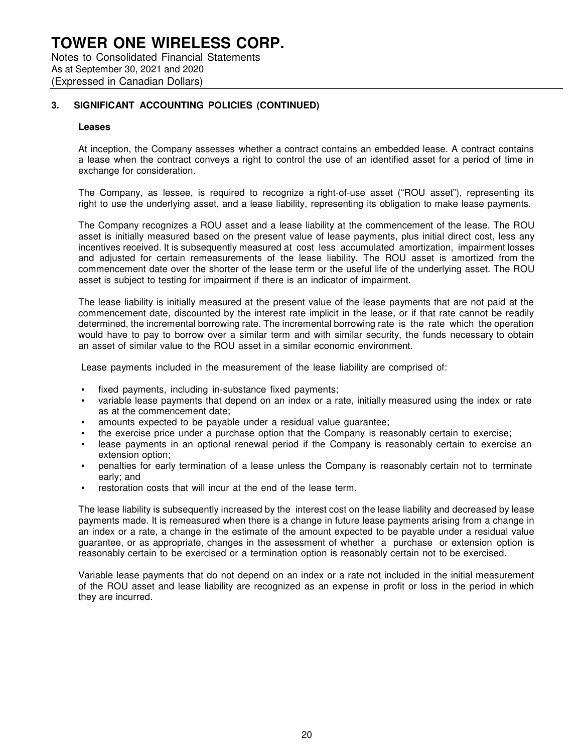## **TOWER ONE WIRELESS CORP.** Notes to Consolidated Financial Statements As at September 30, 2021 and 2020 (Expressed in Canadian Dollars)

### **3. SIGNIFICANT ACCOUNTING POLICIES (CONTINUED)**

#### **Leases**

At inception, the Company assesses whether a contract contains an embedded lease. A contract contains a lease when the contract conveys a right to control the use of an identified asset for a period of time in exchange for consideration.

The Company, as lessee, is required to recognize a right-of-use asset ("ROU asset"), representing its right to use the underlying asset, and a lease liability, representing its obligation to make lease payments.

The Company recognizes a ROU asset and a lease liability at the commencement of the lease. The ROU asset is initially measured based on the present value of lease payments, plus initial direct cost, less any incentives received. It is subsequently measured at cost less accumulated amortization, impairment losses and adjusted for certain remeasurements of the lease liability. The ROU asset is amortized from the commencement date over the shorter of the lease term or the useful life of the underlying asset. The ROU asset is subject to testing for impairment if there is an indicator of impairment.

The lease liability is initially measured at the present value of the lease payments that are not paid at the commencement date, discounted by the interest rate implicit in the lease, or if that rate cannot be readily determined, the incremental borrowing rate. The incremental borrowing rate is the rate which the operation would have to pay to borrow over a similar term and with similar security, the funds necessary to obtain an asset of similar value to the ROU asset in a similar economic environment.

Lease payments included in the measurement of the lease liability are comprised of:

- fixed payments, including in-substance fixed payments;
- variable lease payments that depend on an index or a rate, initially measured using the index or rate as at the commencement date;
- amounts expected to be payable under a residual value guarantee;
- the exercise price under a purchase option that the Company is reasonably certain to exercise;
- lease payments in an optional renewal period if the Company is reasonably certain to exercise an extension option;
- penalties for early termination of a lease unless the Company is reasonably certain not to terminate early; and
- restoration costs that will incur at the end of the lease term.

The lease liability is subsequently increased by the interest cost on the lease liability and decreased by lease payments made. It is remeasured when there is a change in future lease payments arising from a change in an index or a rate, a change in the estimate of the amount expected to be payable under a residual value guarantee, or as appropriate, changes in the assessment of whether a purchase or extension option is reasonably certain to be exercised or a termination option is reasonably certain not to be exercised.

Variable lease payments that do not depend on an index or a rate not included in the initial measurement of the ROU asset and lease liability are recognized as an expense in profit or loss in the period in which they are incurred.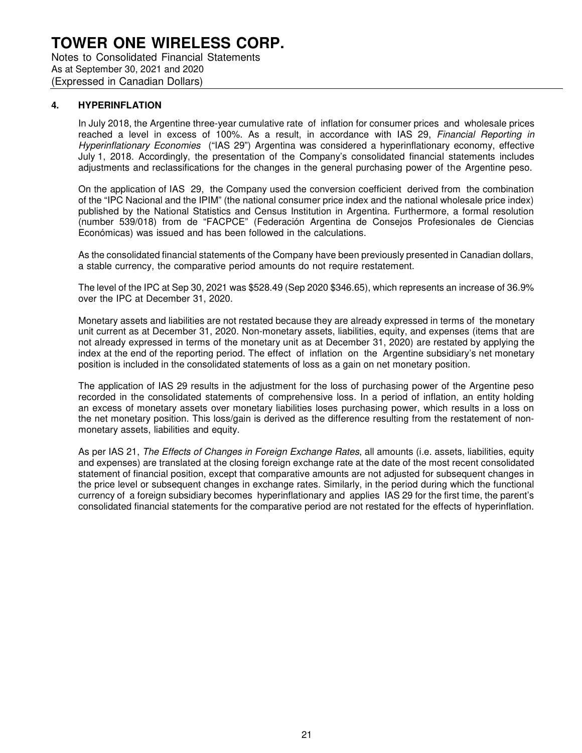#### **4. HYPERINFLATION**

In July 2018, the Argentine three-year cumulative rate of inflation for consumer prices and wholesale prices reached a level in excess of 100%. As a result, in accordance with IAS 29, Financial Reporting in Hyperinflationary Economies ("IAS 29") Argentina was considered a hyperinflationary economy, effective July 1, 2018. Accordingly, the presentation of the Company's consolidated financial statements includes adjustments and reclassifications for the changes in the general purchasing power of the Argentine peso.

On the application of IAS 29, the Company used the conversion coefficient derived from the combination of the "IPC Nacional and the IPIM" (the national consumer price index and the national wholesale price index) published by the National Statistics and Census Institution in Argentina. Furthermore, a formal resolution (number 539/018) from de "FACPCE" (Federación Argentina de Consejos Profesionales de Ciencias Económicas) was issued and has been followed in the calculations.

As the consolidated financial statements of the Company have been previously presented in Canadian dollars, a stable currency, the comparative period amounts do not require restatement.

The level of the IPC at Sep 30, 2021 was \$528.49 (Sep 2020 \$346.65), which represents an increase of 36.9% over the IPC at December 31, 2020.

Monetary assets and liabilities are not restated because they are already expressed in terms of the monetary unit current as at December 31, 2020. Non-monetary assets, liabilities, equity, and expenses (items that are not already expressed in terms of the monetary unit as at December 31, 2020) are restated by applying the index at the end of the reporting period. The effect of inflation on the Argentine subsidiary's net monetary position is included in the consolidated statements of loss as a gain on net monetary position.

The application of IAS 29 results in the adjustment for the loss of purchasing power of the Argentine peso recorded in the consolidated statements of comprehensive loss. In a period of inflation, an entity holding an excess of monetary assets over monetary liabilities loses purchasing power, which results in a loss on the net monetary position. This loss/gain is derived as the difference resulting from the restatement of nonmonetary assets, liabilities and equity.

As per IAS 21, The Effects of Changes in Foreign Exchange Rates, all amounts (i.e. assets, liabilities, equity and expenses) are translated at the closing foreign exchange rate at the date of the most recent consolidated statement of financial position, except that comparative amounts are not adjusted for subsequent changes in the price level or subsequent changes in exchange rates. Similarly, in the period during which the functional currency of a foreign subsidiary becomes hyperinflationary and applies IAS 29 for the first time, the parent's consolidated financial statements for the comparative period are not restated for the effects of hyperinflation.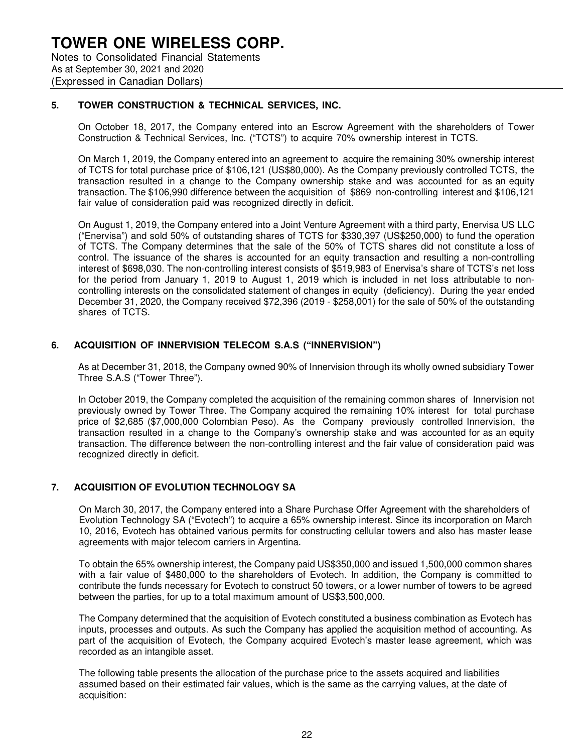### **5. TOWER CONSTRUCTION & TECHNICAL SERVICES, INC.**

On October 18, 2017, the Company entered into an Escrow Agreement with the shareholders of Tower Construction & Technical Services, Inc. ("TCTS") to acquire 70% ownership interest in TCTS.

On March 1, 2019, the Company entered into an agreement to acquire the remaining 30% ownership interest of TCTS for total purchase price of \$106,121 (US\$80,000). As the Company previously controlled TCTS, the transaction resulted in a change to the Company ownership stake and was accounted for as an equity transaction. The \$106,990 difference between the acquisition of \$869 non-controlling interest and \$106,121 fair value of consideration paid was recognized directly in deficit.

On August 1, 2019, the Company entered into a Joint Venture Agreement with a third party, Enervisa US LLC ("Enervisa") and sold 50% of outstanding shares of TCTS for \$330,397 (US\$250,000) to fund the operation of TCTS. The Company determines that the sale of the 50% of TCTS shares did not constitute a loss of control. The issuance of the shares is accounted for an equity transaction and resulting a non-controlling interest of \$698,030. The non-controlling interest consists of \$519,983 of Enervisa's share of TCTS's net loss for the period from January 1, 2019 to August 1, 2019 which is included in net loss attributable to noncontrolling interests on the consolidated statement of changes in equity (deficiency). During the year ended December 31, 2020, the Company received \$72,396 (2019 - \$258,001) for the sale of 50% of the outstanding shares of TCTS.

## **6. ACQUISITION OF INNERVISION TELECOM S.A.S ("INNERVISION")**

As at December 31, 2018, the Company owned 90% of Innervision through its wholly owned subsidiary Tower Three S.A.S ("Tower Three").

In October 2019, the Company completed the acquisition of the remaining common shares of Innervision not previously owned by Tower Three. The Company acquired the remaining 10% interest for total purchase price of \$2,685 (\$7,000,000 Colombian Peso). As the Company previously controlled Innervision, the transaction resulted in a change to the Company's ownership stake and was accounted for as an equity transaction. The difference between the non-controlling interest and the fair value of consideration paid was recognized directly in deficit.

### **7. ACQUISITION OF EVOLUTION TECHNOLOGY SA**

On March 30, 2017, the Company entered into a Share Purchase Offer Agreement with the shareholders of Evolution Technology SA ("Evotech") to acquire a 65% ownership interest. Since its incorporation on March 10, 2016, Evotech has obtained various permits for constructing cellular towers and also has master lease agreements with major telecom carriers in Argentina.

To obtain the 65% ownership interest, the Company paid US\$350,000 and issued 1,500,000 common shares with a fair value of \$480,000 to the shareholders of Evotech. In addition, the Company is committed to contribute the funds necessary for Evotech to construct 50 towers, or a lower number of towers to be agreed between the parties, for up to a total maximum amount of US\$3,500,000.

The Company determined that the acquisition of Evotech constituted a business combination as Evotech has inputs, processes and outputs. As such the Company has applied the acquisition method of accounting. As part of the acquisition of Evotech, the Company acquired Evotech's master lease agreement, which was recorded as an intangible asset.

The following table presents the allocation of the purchase price to the assets acquired and liabilities assumed based on their estimated fair values, which is the same as the carrying values, at the date of acquisition: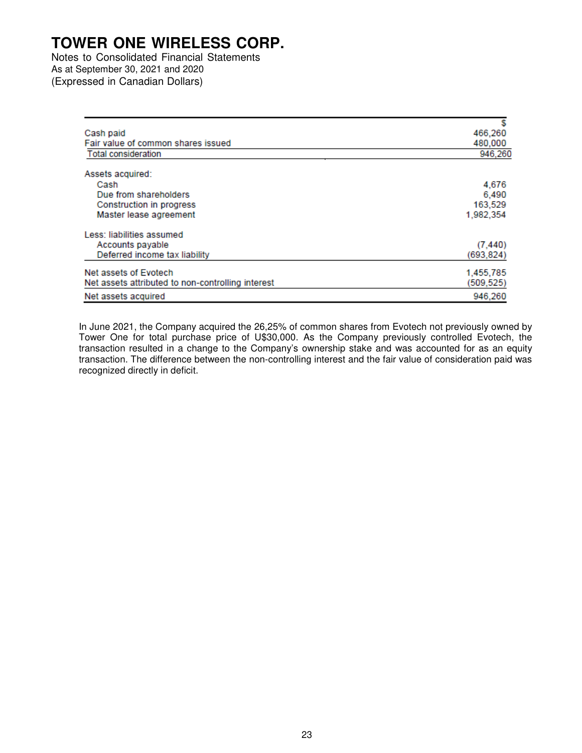Notes to Consolidated Financial Statements As at September 30, 2021 and 2020 (Expressed in Canadian Dollars)

| Cash paid                                         | 466,260    |
|---------------------------------------------------|------------|
| Fair value of common shares issued                | 480,000    |
| <b>Total consideration</b>                        | 946,260    |
| Assets acquired:                                  |            |
| Cash                                              | 4,676      |
| Due from shareholders                             | 6,490      |
| Construction in progress                          | 163,529    |
| Master lease agreement                            | 1.982.354  |
| Less: liabilities assumed                         |            |
| Accounts payable                                  | (7, 440)   |
| Deferred income tax liability                     | (693, 824) |
| Net assets of Evotech                             | 1,455,785  |
| Net assets attributed to non-controlling interest | (509, 525) |
| Net assets acquired                               | 946,260    |

In June 2021, the Company acquired the 26,25% of common shares from Evotech not previously owned by Tower One for total purchase price of U\$30,000. As the Company previously controlled Evotech, the transaction resulted in a change to the Company's ownership stake and was accounted for as an equity transaction. The difference between the non-controlling interest and the fair value of consideration paid was recognized directly in deficit.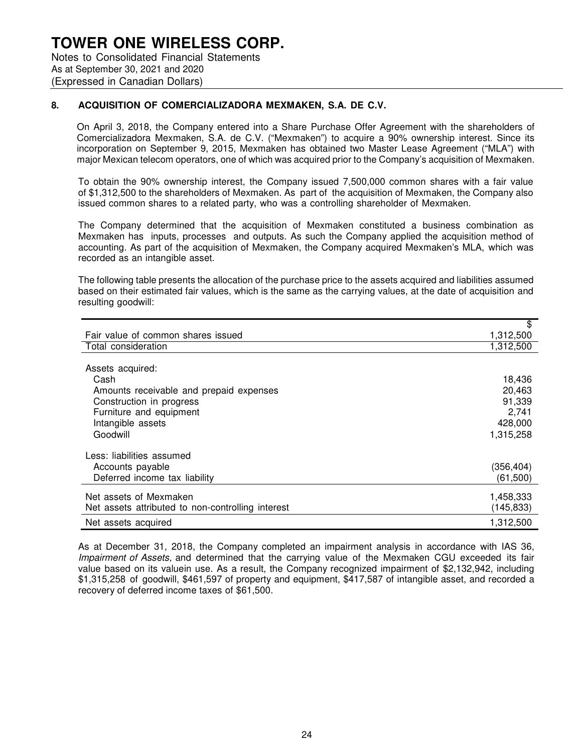## **TOWER ONE WIRELESS CORP.** Notes to Consolidated Financial Statements As at September 30, 2021 and 2020

(Expressed in Canadian Dollars)

### **8. ACQUISITION OF COMERCIALIZADORA MEXMAKEN, S.A. DE C.V.**

On April 3, 2018, the Company entered into a Share Purchase Offer Agreement with the shareholders of Comercializadora Mexmaken, S.A. de C.V. ("Mexmaken") to acquire a 90% ownership interest. Since its incorporation on September 9, 2015, Mexmaken has obtained two Master Lease Agreement ("MLA") with major Mexican telecom operators, one of which was acquired prior to the Company's acquisition of Mexmaken.

To obtain the 90% ownership interest, the Company issued 7,500,000 common shares with a fair value of \$1,312,500 to the shareholders of Mexmaken. As part of the acquisition of Mexmaken, the Company also issued common shares to a related party, who was a controlling shareholder of Mexmaken.

The Company determined that the acquisition of Mexmaken constituted a business combination as Mexmaken has inputs, processes and outputs. As such the Company applied the acquisition method of accounting. As part of the acquisition of Mexmaken, the Company acquired Mexmaken's MLA, which was recorded as an intangible asset.

The following table presents the allocation of the purchase price to the assets acquired and liabilities assumed based on their estimated fair values, which is the same as the carrying values, at the date of acquisition and resulting goodwill:

|                                                   | \$         |
|---------------------------------------------------|------------|
| Fair value of common shares issued                | 1,312,500  |
| Total consideration                               | 1,312,500  |
|                                                   |            |
| Assets acquired:                                  |            |
| Cash                                              | 18,436     |
| Amounts receivable and prepaid expenses           | 20,463     |
| Construction in progress                          | 91,339     |
| Furniture and equipment                           | 2,741      |
| Intangible assets                                 | 428,000    |
| Goodwill                                          | 1,315,258  |
|                                                   |            |
| Less: liabilities assumed                         |            |
| Accounts payable                                  | (356, 404) |
| Deferred income tax liability                     | (61, 500)  |
| Net assets of Mexmaken                            | 1,458,333  |
| Net assets attributed to non-controlling interest | (145, 833) |
|                                                   |            |
| Net assets acquired                               | 1,312,500  |

As at December 31, 2018, the Company completed an impairment analysis in accordance with IAS 36, Impairment of Assets, and determined that the carrying value of the Mexmaken CGU exceeded its fair value based on its valuein use. As a result, the Company recognized impairment of \$2,132,942, including \$1,315,258 of goodwill, \$461,597 of property and equipment, \$417,587 of intangible asset, and recorded a recovery of deferred income taxes of \$61,500.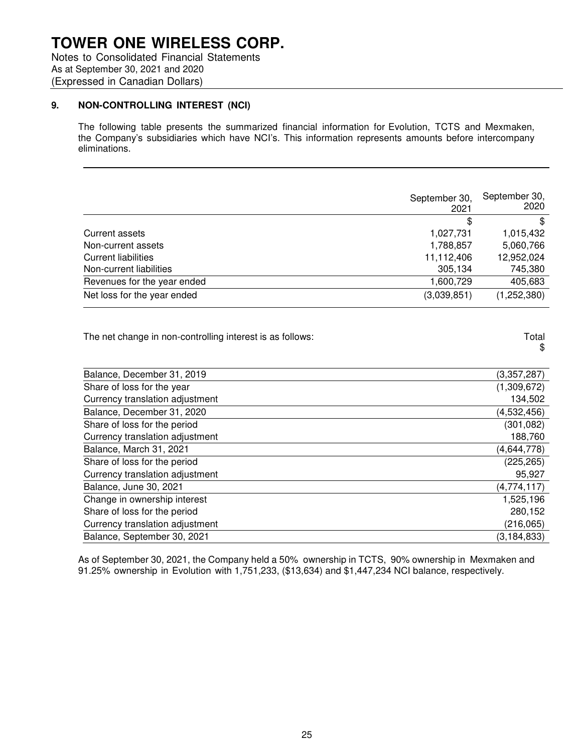## **TOWER ONE WIRELESS CORP.** Notes to Consolidated Financial Statements

As at September 30, 2021 and 2020 (Expressed in Canadian Dollars)

## **9. NON-CONTROLLING INTEREST (NCI)**

The following table presents the summarized financial information for Evolution, TCTS and Mexmaken, the Company's subsidiaries which have NCI's. This information represents amounts before intercompany eliminations.

|                             | September 30,<br>2021 | September 30,<br>2020 |
|-----------------------------|-----------------------|-----------------------|
|                             | \$                    | \$                    |
| Current assets              | 1,027,731             | 1,015,432             |
| Non-current assets          | 1,788,857             | 5,060,766             |
| Current liabilities         | 11,112,406            | 12,952,024            |
| Non-current liabilities     | 305,134               | 745,380               |
| Revenues for the year ended | 1,600,729             | 405,683               |
| Net loss for the year ended | (3,039,851)           | (1, 252, 380)         |

\$

The net change in non-controlling interest is as follows: The net change in non-controlling interest is as follows:

Balance, December 31, 2019 (3,357,287) Share of loss for the year (1,309,672) Currency translation adjustment 134,502 Balance, December 31, 2020 (4,532,456) Share of loss for the period (301,082) Currency translation adjustment 188,760 Balance, March 31, 2021 (4,644,778) Share of loss for the period (225,265) Currency translation adjustment example of the control of the control of the control of the control of the control of the control of the control of the control of the control of the control of the control of the control of Balance, June 30, 2021 (4,774,117) Change in ownership interest **1,525,196** Change 1,525,196 Share of loss for the period **280,152** Currency translation adjustment (216,065) Balance, September 30, 2021 (3,184,833)

As of September 30, 2021, the Company held a 50% ownership in TCTS, 90% ownership in Mexmaken and 91.25% ownership in Evolution with 1,751,233, (\$13,634) and \$1,447,234 NCI balance, respectively.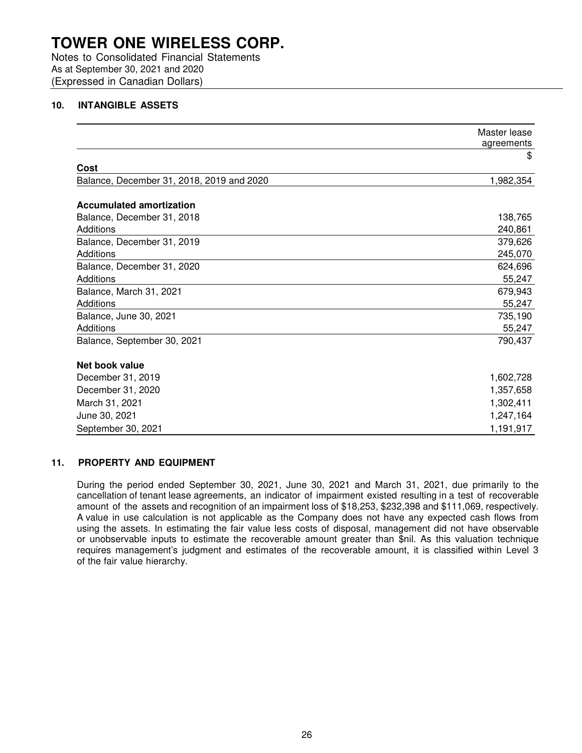Notes to Consolidated Financial Statements As at September 30, 2021 and 2020 (Expressed in Canadian Dollars)

### **10. INTANGIBLE ASSETS**

|                                           | Master lease<br>agreements |
|-------------------------------------------|----------------------------|
|                                           | \$                         |
| Cost                                      |                            |
| Balance, December 31, 2018, 2019 and 2020 | 1,982,354                  |
| <b>Accumulated amortization</b>           |                            |
| Balance, December 31, 2018                | 138,765                    |
| Additions                                 | 240,861                    |
| Balance, December 31, 2019                | 379,626                    |
| Additions                                 | 245,070                    |
| Balance, December 31, 2020                | 624,696                    |
| Additions                                 | 55,247                     |
| Balance, March 31, 2021                   | 679,943                    |
| Additions                                 | 55,247                     |
| Balance, June 30, 2021                    | 735,190                    |
| Additions                                 | 55,247                     |
| Balance, September 30, 2021               | 790,437                    |
| Net book value                            |                            |
| December 31, 2019                         | 1,602,728                  |
| December 31, 2020                         | 1,357,658                  |
| March 31, 2021                            | 1,302,411                  |
| June 30, 2021                             | 1,247,164                  |
| September 30, 2021                        | 1,191,917                  |

#### **11. PROPERTY AND EQUIPMENT**

During the period ended September 30, 2021, June 30, 2021 and March 31, 2021, due primarily to the cancellation of tenant lease agreements, an indicator of impairment existed resulting in a test of recoverable amount of the assets and recognition of an impairment loss of \$18,253, \$232,398 and \$111,069, respectively. A value in use calculation is not applicable as the Company does not have any expected cash flows from using the assets. In estimating the fair value less costs of disposal, management did not have observable or unobservable inputs to estimate the recoverable amount greater than \$nil. As this valuation technique requires management's judgment and estimates of the recoverable amount, it is classified within Level 3 of the fair value hierarchy.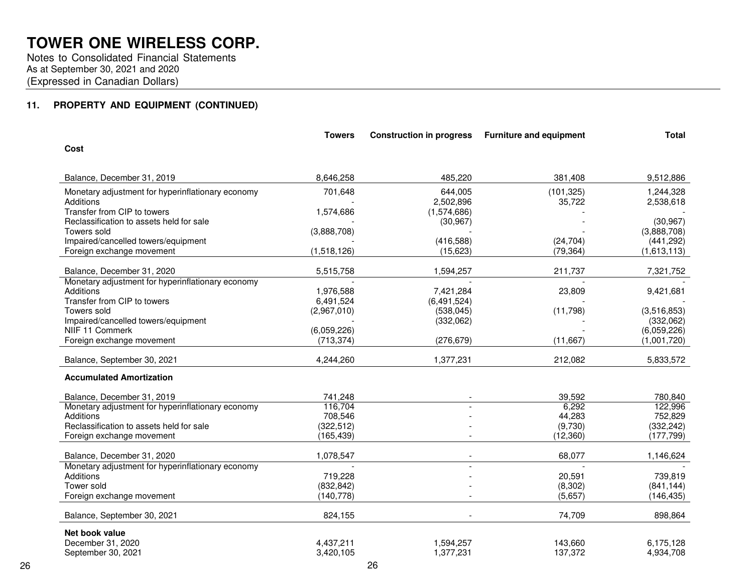Notes to Consolidated Financial Statements As at September 30, 2021 and 2020(Expressed in Canadian Dollars)

## **11. PROPERTY AND EQUIPMENT (CONTINUED)**

|                                                    | <b>Towers</b> | <b>Construction in progress</b> | <b>Furniture and equipment</b> | <b>Total</b>              |
|----------------------------------------------------|---------------|---------------------------------|--------------------------------|---------------------------|
| Cost                                               |               |                                 |                                |                           |
| Balance, December 31, 2019                         | 8,646,258     | 485,220                         | 381,408                        | 9,512,886                 |
| Monetary adjustment for hyperinflationary economy  | 701,648       | 644,005                         | (101, 325)                     | 1,244,328                 |
| <b>Additions</b>                                   |               | 2,502,896                       | 35,722                         | 2,538,618                 |
| Transfer from CIP to towers                        | 1,574,686     | (1,574,686)                     |                                |                           |
| Reclassification to assets held for sale           |               | (30, 967)                       |                                | (30, 967)                 |
| Towers sold<br>Impaired/cancelled towers/equipment | (3,888,708)   | (416,588)                       | (24, 704)                      | (3,888,708)<br>(441, 292) |
| Foreign exchange movement                          | (1,518,126)   | (15,623)                        | (79, 364)                      | (1,613,113)               |
|                                                    |               |                                 |                                |                           |
| Balance, December 31, 2020                         | 5,515,758     | 1,594,257                       | 211,737                        | 7,321,752                 |
| Monetary adjustment for hyperinflationary economy  |               |                                 |                                |                           |
| Additions                                          | 1.976.588     | 7,421,284                       | 23,809                         | 9,421,681                 |
| Transfer from CIP to towers                        | 6,491,524     | (6, 491, 524)                   |                                |                           |
| Towers sold                                        | (2,967,010)   | (538, 045)                      | (11,798)                       | (3,516,853)               |
| Impaired/cancelled towers/equipment                |               | (332,062)                       |                                | (332,062)                 |
| NIIF 11 Commerk                                    | (6,059,226)   |                                 |                                | (6,059,226)               |
| Foreign exchange movement                          | (713, 374)    | (276, 679)                      | (11, 667)                      | (1,001,720)               |
| Balance, September 30, 2021                        | 4,244,260     | 1,377,231                       | 212,082                        | 5,833,572                 |
| <b>Accumulated Amortization</b>                    |               |                                 |                                |                           |
| Balance, December 31, 2019                         | 741,248       |                                 | 39,592                         | 780,840                   |
| Monetary adjustment for hyperinflationary economy  | 116,704       |                                 | 6,292                          | 122,996                   |
| Additions                                          | 708,546       |                                 | 44,283                         | 752,829                   |
| Reclassification to assets held for sale           | (322, 512)    |                                 | (9,730)                        | (332, 242)                |
| Foreign exchange movement                          | (165, 439)    |                                 | (12, 360)                      | (177, 799)                |
| Balance, December 31, 2020                         | 1,078,547     |                                 | 68,077                         | 1,146,624                 |
| Monetary adjustment for hyperinflationary economy  |               |                                 |                                |                           |
| <b>Additions</b>                                   | 719,228       |                                 | 20,591                         | 739,819                   |
| Tower sold                                         | (832, 842)    |                                 | (8, 302)                       | (841, 144)                |
| Foreign exchange movement                          | (140, 778)    |                                 | (5,657)                        | (146, 435)                |
| Balance, September 30, 2021                        | 824,155       |                                 | 74,709                         | 898,864                   |
| Net book value                                     |               |                                 |                                |                           |
| December 31, 2020                                  | 4,437,211     | 1,594,257                       | 143,660                        | 6,175,128                 |
| September 30, 2021                                 | 3,420,105     | 1,377,231                       | 137,372                        | 4,934,708                 |
|                                                    |               |                                 |                                |                           |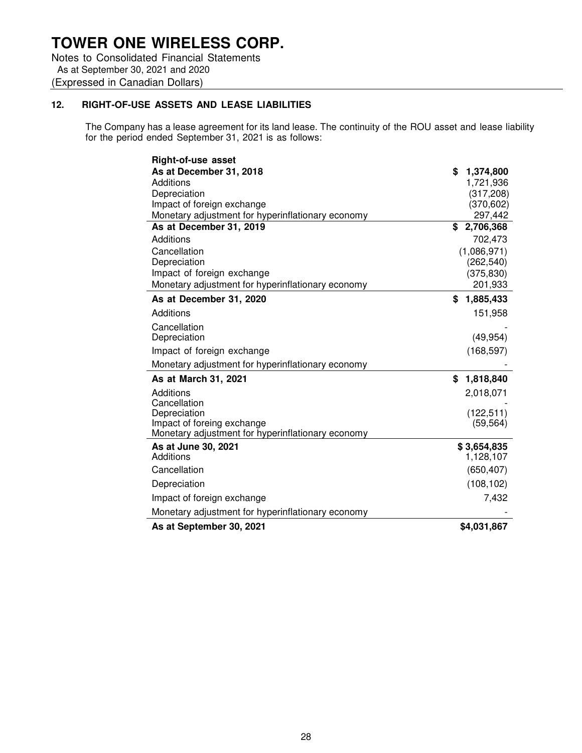Notes to Consolidated Financial Statements As at September 30, 2021 and 2020 (Expressed in Canadian Dollars)

## **12. RIGHT-OF-USE ASSETS AND LEASE LIABILITIES**

The Company has a lease agreement for its land lease. The continuity of the ROU asset and lease liability for the period ended September 31, 2021 is as follows:

| <b>Right-of-use asset</b>                                                       |                       |
|---------------------------------------------------------------------------------|-----------------------|
| As at December 31, 2018                                                         | \$<br>1,374,800       |
| Additions                                                                       | 1,721,936             |
| Depreciation                                                                    | (317, 208)            |
| Impact of foreign exchange                                                      | (370, 602)            |
| Monetary adjustment for hyperinflationary economy                               | 297,442               |
| As at December 31, 2019                                                         | 2,706,368<br>\$       |
| Additions                                                                       | 702,473               |
| Cancellation                                                                    | (1,086,971)           |
| Depreciation<br>Impact of foreign exchange                                      | (262, 540)            |
| Monetary adjustment for hyperinflationary economy                               | (375, 830)<br>201,933 |
|                                                                                 |                       |
| As at December 31, 2020                                                         | 1,885,433<br>\$       |
| Additions                                                                       | 151,958               |
| Cancellation                                                                    |                       |
| Depreciation                                                                    | (49, 954)             |
| Impact of foreign exchange                                                      | (168, 597)            |
| Monetary adjustment for hyperinflationary economy                               |                       |
| As at March 31, 2021                                                            | 1,818,840<br>\$       |
| Additions                                                                       | 2,018,071             |
| Cancellation                                                                    |                       |
| Depreciation                                                                    | (122, 511)            |
| Impact of foreing exchange<br>Monetary adjustment for hyperinflationary economy | (59, 564)             |
| As at June 30, 2021                                                             | \$3,654,835           |
| Additions                                                                       | 1,128,107             |
| Cancellation                                                                    | (650, 407)            |
| Depreciation                                                                    | (108, 102)            |
| Impact of foreign exchange                                                      | 7,432                 |
| Monetary adjustment for hyperinflationary economy                               |                       |
| As at September 30, 2021                                                        | \$4,031,867           |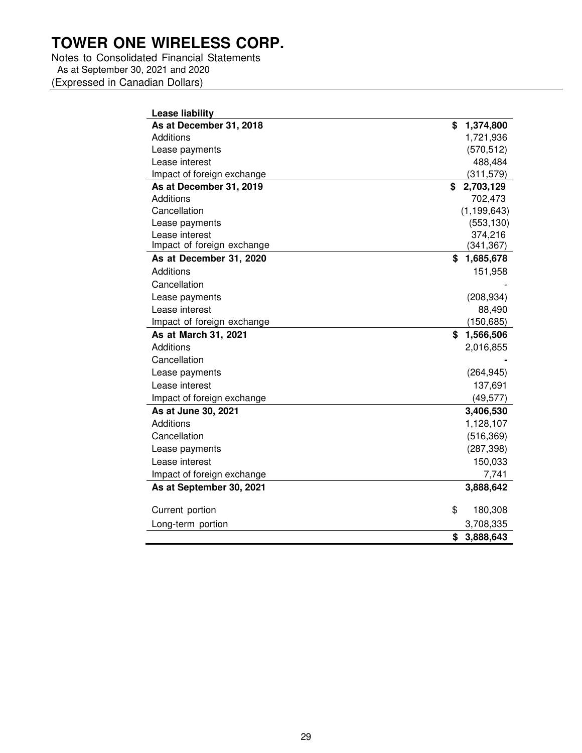Notes to Consolidated Financial Statements As at September 30, 2021 and 2020 (Expressed in Canadian Dollars)

| As at December 31, 2018<br>\$<br>1,374,800<br>Additions<br>1,721,936<br>(570, 512)<br>Lease payments<br>Lease interest<br>488,484<br>Impact of foreign exchange<br>(311, 579)<br>As at December 31, 2019<br>2,703,129<br>\$<br><b>Additions</b><br>702,473<br>(1, 199, 643)<br>Cancellation<br>(553, 130)<br>Lease payments<br>374,216<br>Lease interest<br>Impact of foreign exchange<br>(341, 367)<br>As at December 31, 2020<br>\$<br>1,685,678<br>Additions<br>151,958<br>Cancellation<br>(208, 934)<br>Lease payments<br>Lease interest<br>88,490<br>Impact of foreign exchange<br>(150, 685)<br>As at March 31, 2021<br>\$<br>1,566,506<br>Additions<br>2,016,855<br>Cancellation<br>(264, 945)<br>Lease payments<br>Lease interest<br>137,691<br>(49, 577)<br>Impact of foreign exchange<br>As at June 30, 2021<br>3,406,530<br>Additions<br>1,128,107<br>Cancellation<br>(516, 369)<br>(287, 398)<br>Lease payments<br>150,033<br>Lease interest<br>7,741<br>Impact of foreign exchange<br>As at September 30, 2021<br>3,888,642<br>\$ | <b>Lease liability</b> |         |
|------------------------------------------------------------------------------------------------------------------------------------------------------------------------------------------------------------------------------------------------------------------------------------------------------------------------------------------------------------------------------------------------------------------------------------------------------------------------------------------------------------------------------------------------------------------------------------------------------------------------------------------------------------------------------------------------------------------------------------------------------------------------------------------------------------------------------------------------------------------------------------------------------------------------------------------------------------------------------------------------------------------------------------------------|------------------------|---------|
|                                                                                                                                                                                                                                                                                                                                                                                                                                                                                                                                                                                                                                                                                                                                                                                                                                                                                                                                                                                                                                                |                        |         |
|                                                                                                                                                                                                                                                                                                                                                                                                                                                                                                                                                                                                                                                                                                                                                                                                                                                                                                                                                                                                                                                |                        |         |
|                                                                                                                                                                                                                                                                                                                                                                                                                                                                                                                                                                                                                                                                                                                                                                                                                                                                                                                                                                                                                                                |                        |         |
|                                                                                                                                                                                                                                                                                                                                                                                                                                                                                                                                                                                                                                                                                                                                                                                                                                                                                                                                                                                                                                                |                        |         |
|                                                                                                                                                                                                                                                                                                                                                                                                                                                                                                                                                                                                                                                                                                                                                                                                                                                                                                                                                                                                                                                |                        |         |
|                                                                                                                                                                                                                                                                                                                                                                                                                                                                                                                                                                                                                                                                                                                                                                                                                                                                                                                                                                                                                                                |                        |         |
|                                                                                                                                                                                                                                                                                                                                                                                                                                                                                                                                                                                                                                                                                                                                                                                                                                                                                                                                                                                                                                                |                        |         |
|                                                                                                                                                                                                                                                                                                                                                                                                                                                                                                                                                                                                                                                                                                                                                                                                                                                                                                                                                                                                                                                |                        |         |
|                                                                                                                                                                                                                                                                                                                                                                                                                                                                                                                                                                                                                                                                                                                                                                                                                                                                                                                                                                                                                                                |                        |         |
|                                                                                                                                                                                                                                                                                                                                                                                                                                                                                                                                                                                                                                                                                                                                                                                                                                                                                                                                                                                                                                                |                        |         |
|                                                                                                                                                                                                                                                                                                                                                                                                                                                                                                                                                                                                                                                                                                                                                                                                                                                                                                                                                                                                                                                |                        |         |
|                                                                                                                                                                                                                                                                                                                                                                                                                                                                                                                                                                                                                                                                                                                                                                                                                                                                                                                                                                                                                                                |                        |         |
|                                                                                                                                                                                                                                                                                                                                                                                                                                                                                                                                                                                                                                                                                                                                                                                                                                                                                                                                                                                                                                                |                        |         |
|                                                                                                                                                                                                                                                                                                                                                                                                                                                                                                                                                                                                                                                                                                                                                                                                                                                                                                                                                                                                                                                |                        |         |
|                                                                                                                                                                                                                                                                                                                                                                                                                                                                                                                                                                                                                                                                                                                                                                                                                                                                                                                                                                                                                                                |                        |         |
|                                                                                                                                                                                                                                                                                                                                                                                                                                                                                                                                                                                                                                                                                                                                                                                                                                                                                                                                                                                                                                                |                        |         |
|                                                                                                                                                                                                                                                                                                                                                                                                                                                                                                                                                                                                                                                                                                                                                                                                                                                                                                                                                                                                                                                |                        |         |
|                                                                                                                                                                                                                                                                                                                                                                                                                                                                                                                                                                                                                                                                                                                                                                                                                                                                                                                                                                                                                                                |                        |         |
|                                                                                                                                                                                                                                                                                                                                                                                                                                                                                                                                                                                                                                                                                                                                                                                                                                                                                                                                                                                                                                                |                        |         |
|                                                                                                                                                                                                                                                                                                                                                                                                                                                                                                                                                                                                                                                                                                                                                                                                                                                                                                                                                                                                                                                |                        |         |
|                                                                                                                                                                                                                                                                                                                                                                                                                                                                                                                                                                                                                                                                                                                                                                                                                                                                                                                                                                                                                                                |                        |         |
|                                                                                                                                                                                                                                                                                                                                                                                                                                                                                                                                                                                                                                                                                                                                                                                                                                                                                                                                                                                                                                                |                        |         |
|                                                                                                                                                                                                                                                                                                                                                                                                                                                                                                                                                                                                                                                                                                                                                                                                                                                                                                                                                                                                                                                |                        |         |
|                                                                                                                                                                                                                                                                                                                                                                                                                                                                                                                                                                                                                                                                                                                                                                                                                                                                                                                                                                                                                                                |                        |         |
|                                                                                                                                                                                                                                                                                                                                                                                                                                                                                                                                                                                                                                                                                                                                                                                                                                                                                                                                                                                                                                                |                        |         |
|                                                                                                                                                                                                                                                                                                                                                                                                                                                                                                                                                                                                                                                                                                                                                                                                                                                                                                                                                                                                                                                |                        |         |
|                                                                                                                                                                                                                                                                                                                                                                                                                                                                                                                                                                                                                                                                                                                                                                                                                                                                                                                                                                                                                                                |                        |         |
|                                                                                                                                                                                                                                                                                                                                                                                                                                                                                                                                                                                                                                                                                                                                                                                                                                                                                                                                                                                                                                                |                        |         |
|                                                                                                                                                                                                                                                                                                                                                                                                                                                                                                                                                                                                                                                                                                                                                                                                                                                                                                                                                                                                                                                |                        |         |
|                                                                                                                                                                                                                                                                                                                                                                                                                                                                                                                                                                                                                                                                                                                                                                                                                                                                                                                                                                                                                                                |                        |         |
|                                                                                                                                                                                                                                                                                                                                                                                                                                                                                                                                                                                                                                                                                                                                                                                                                                                                                                                                                                                                                                                | Current portion        | 180,308 |
| Long-term portion<br>3,708,335                                                                                                                                                                                                                                                                                                                                                                                                                                                                                                                                                                                                                                                                                                                                                                                                                                                                                                                                                                                                                 |                        |         |
| 3,888,643<br>\$                                                                                                                                                                                                                                                                                                                                                                                                                                                                                                                                                                                                                                                                                                                                                                                                                                                                                                                                                                                                                                |                        |         |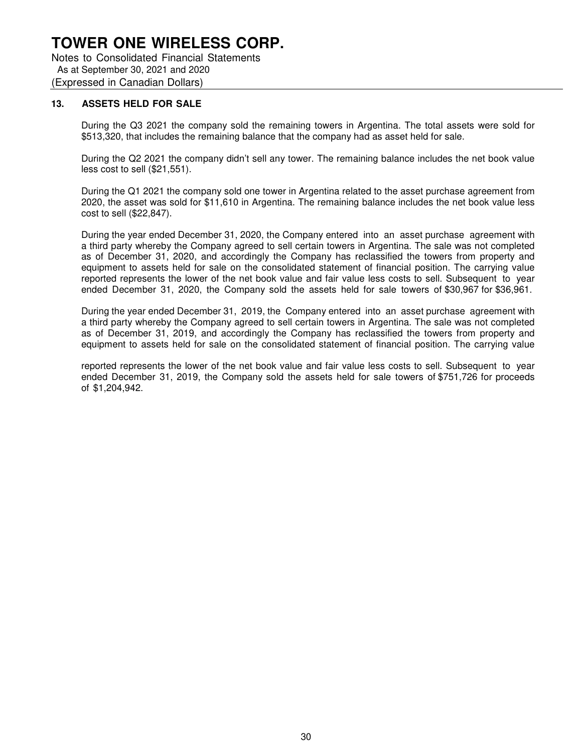Notes to Consolidated Financial Statements As at September 30, 2021 and 2020 (Expressed in Canadian Dollars)

#### **13. ASSETS HELD FOR SALE**

During the Q3 2021 the company sold the remaining towers in Argentina. The total assets were sold for \$513,320, that includes the remaining balance that the company had as asset held for sale.

During the Q2 2021 the company didn't sell any tower. The remaining balance includes the net book value less cost to sell (\$21,551).

During the Q1 2021 the company sold one tower in Argentina related to the asset purchase agreement from 2020, the asset was sold for \$11,610 in Argentina. The remaining balance includes the net book value less cost to sell (\$22,847).

During the year ended December 31, 2020, the Company entered into an asset purchase agreement with a third party whereby the Company agreed to sell certain towers in Argentina. The sale was not completed as of December 31, 2020, and accordingly the Company has reclassified the towers from property and equipment to assets held for sale on the consolidated statement of financial position. The carrying value reported represents the lower of the net book value and fair value less costs to sell. Subsequent to year ended December 31, 2020, the Company sold the assets held for sale towers of \$30,967 for \$36,961.

During the year ended December 31, 2019, the Company entered into an asset purchase agreement with a third party whereby the Company agreed to sell certain towers in Argentina. The sale was not completed as of December 31, 2019, and accordingly the Company has reclassified the towers from property and equipment to assets held for sale on the consolidated statement of financial position. The carrying value

reported represents the lower of the net book value and fair value less costs to sell. Subsequent to year ended December 31, 2019, the Company sold the assets held for sale towers of \$751,726 for proceeds of \$1,204,942.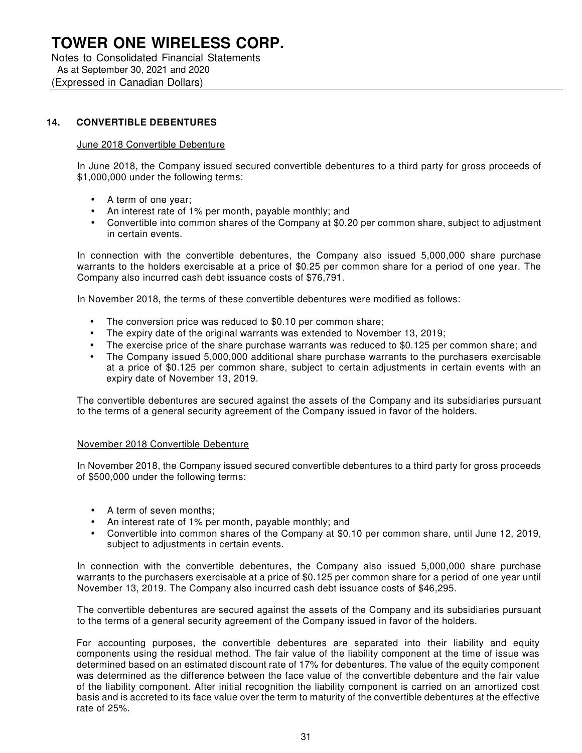Notes to Consolidated Financial Statements As at September 30, 2021 and 2020 (Expressed in Canadian Dollars)

## **14. CONVERTIBLE DEBENTURES**

#### June 2018 Convertible Debenture

In June 2018, the Company issued secured convertible debentures to a third party for gross proceeds of \$1,000,000 under the following terms:

- A term of one year;
- An interest rate of 1% per month, payable monthly; and
- Convertible into common shares of the Company at \$0.20 per common share, subject to adjustment in certain events.

In connection with the convertible debentures, the Company also issued 5,000,000 share purchase warrants to the holders exercisable at a price of \$0.25 per common share for a period of one year. The Company also incurred cash debt issuance costs of \$76,791.

In November 2018, the terms of these convertible debentures were modified as follows:

- The conversion price was reduced to \$0.10 per common share;
- The expiry date of the original warrants was extended to November 13, 2019;
- The exercise price of the share purchase warrants was reduced to \$0.125 per common share; and
- The Company issued 5,000,000 additional share purchase warrants to the purchasers exercisable at a price of \$0.125 per common share, subject to certain adjustments in certain events with an expiry date of November 13, 2019.

The convertible debentures are secured against the assets of the Company and its subsidiaries pursuant to the terms of a general security agreement of the Company issued in favor of the holders.

### November 2018 Convertible Debenture

In November 2018, the Company issued secured convertible debentures to a third party for gross proceeds of \$500,000 under the following terms:

- A term of seven months;
- An interest rate of 1% per month, payable monthly; and
- Convertible into common shares of the Company at \$0.10 per common share, until June 12, 2019, subject to adjustments in certain events.

In connection with the convertible debentures, the Company also issued 5,000,000 share purchase warrants to the purchasers exercisable at a price of \$0.125 per common share for a period of one year until November 13, 2019. The Company also incurred cash debt issuance costs of \$46,295.

The convertible debentures are secured against the assets of the Company and its subsidiaries pursuant to the terms of a general security agreement of the Company issued in favor of the holders.

For accounting purposes, the convertible debentures are separated into their liability and equity components using the residual method. The fair value of the liability component at the time of issue was determined based on an estimated discount rate of 17% for debentures. The value of the equity component was determined as the difference between the face value of the convertible debenture and the fair value of the liability component. After initial recognition the liability component is carried on an amortized cost basis and is accreted to its face value over the term to maturity of the convertible debentures at the effective rate of 25%.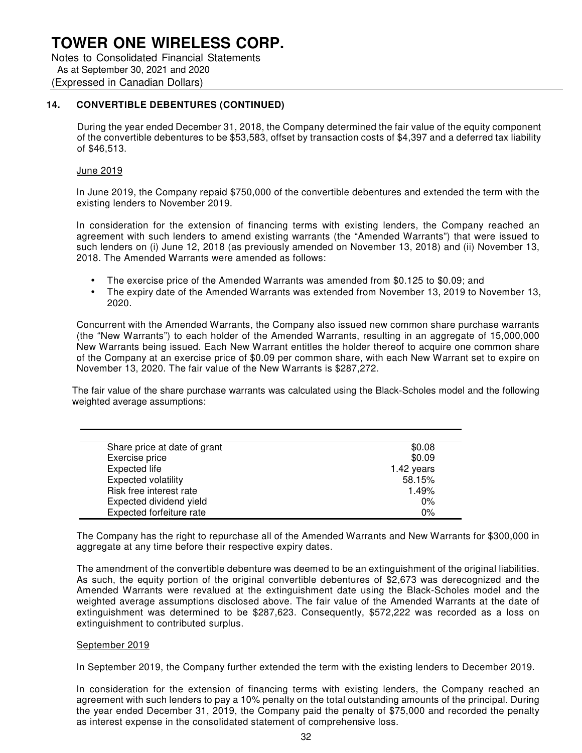Notes to Consolidated Financial Statements As at September 30, 2021 and 2020 (Expressed in Canadian Dollars)

## **14. CONVERTIBLE DEBENTURES (CONTINUED)**

During the year ended December 31, 2018, the Company determined the fair value of the equity component of the convertible debentures to be \$53,583, offset by transaction costs of \$4,397 and a deferred tax liability of \$46,513.

#### June 2019

In June 2019, the Company repaid \$750,000 of the convertible debentures and extended the term with the existing lenders to November 2019.

In consideration for the extension of financing terms with existing lenders, the Company reached an agreement with such lenders to amend existing warrants (the "Amended Warrants") that were issued to such lenders on (i) June 12, 2018 (as previously amended on November 13, 2018) and (ii) November 13, 2018. The Amended Warrants were amended as follows:

- The exercise price of the Amended Warrants was amended from \$0.125 to \$0.09; and
- The expiry date of the Amended Warrants was extended from November 13, 2019 to November 13, 2020.

Concurrent with the Amended Warrants, the Company also issued new common share purchase warrants (the "New Warrants") to each holder of the Amended Warrants, resulting in an aggregate of 15,000,000 New Warrants being issued. Each New Warrant entitles the holder thereof to acquire one common share of the Company at an exercise price of \$0.09 per common share, with each New Warrant set to expire on November 13, 2020. The fair value of the New Warrants is \$287,272.

The fair value of the share purchase warrants was calculated using the Black-Scholes model and the following weighted average assumptions:

| Share price at date of grant | \$0.08     |
|------------------------------|------------|
| Exercise price               | \$0.09     |
| Expected life                | 1.42 years |
| <b>Expected volatility</b>   | 58.15%     |
| Risk free interest rate      | 1.49%      |
| Expected dividend yield      | $0\%$      |
| Expected forfeiture rate     | 0%         |

The Company has the right to repurchase all of the Amended Warrants and New Warrants for \$300,000 in aggregate at any time before their respective expiry dates.

The amendment of the convertible debenture was deemed to be an extinguishment of the original liabilities. As such, the equity portion of the original convertible debentures of \$2,673 was derecognized and the Amended Warrants were revalued at the extinguishment date using the Black-Scholes model and the weighted average assumptions disclosed above. The fair value of the Amended Warrants at the date of extinguishment was determined to be \$287,623. Consequently, \$572,222 was recorded as a loss on extinguishment to contributed surplus.

#### September 2019

In September 2019, the Company further extended the term with the existing lenders to December 2019.

In consideration for the extension of financing terms with existing lenders, the Company reached an agreement with such lenders to pay a 10% penalty on the total outstanding amounts of the principal. During the year ended December 31, 2019, the Company paid the penalty of \$75,000 and recorded the penalty as interest expense in the consolidated statement of comprehensive loss.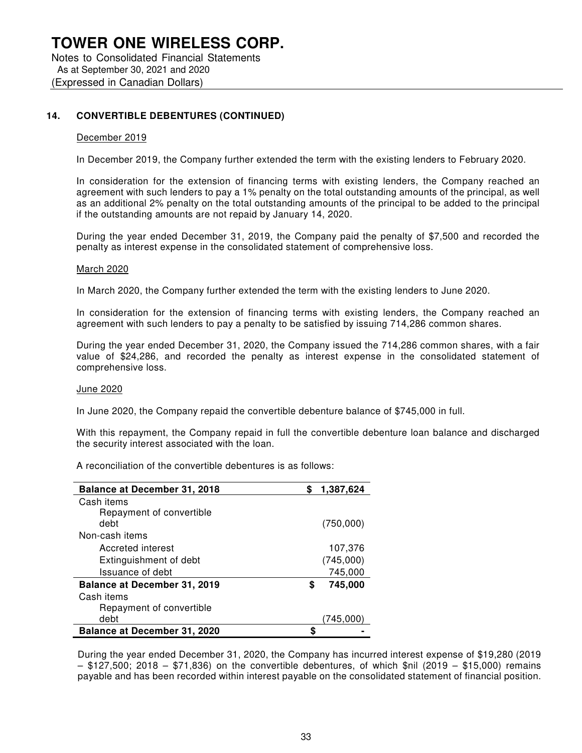Notes to Consolidated Financial Statements As at September 30, 2021 and 2020 (Expressed in Canadian Dollars)

#### **14. CONVERTIBLE DEBENTURES (CONTINUED)**

#### December 2019

In December 2019, the Company further extended the term with the existing lenders to February 2020.

In consideration for the extension of financing terms with existing lenders, the Company reached an agreement with such lenders to pay a 1% penalty on the total outstanding amounts of the principal, as well as an additional 2% penalty on the total outstanding amounts of the principal to be added to the principal if the outstanding amounts are not repaid by January 14, 2020.

During the year ended December 31, 2019, the Company paid the penalty of \$7,500 and recorded the penalty as interest expense in the consolidated statement of comprehensive loss.

#### March 2020

In March 2020, the Company further extended the term with the existing lenders to June 2020.

In consideration for the extension of financing terms with existing lenders, the Company reached an agreement with such lenders to pay a penalty to be satisfied by issuing 714,286 common shares.

During the year ended December 31, 2020, the Company issued the 714,286 common shares, with a fair value of \$24,286, and recorded the penalty as interest expense in the consolidated statement of comprehensive loss.

#### June 2020

In June 2020, the Company repaid the convertible debenture balance of \$745,000 in full.

With this repayment, the Company repaid in full the convertible debenture loan balance and discharged the security interest associated with the loan.

A reconciliation of the convertible debentures is as follows:

| <b>Balance at December 31, 2018</b> | 1,387,624    |
|-------------------------------------|--------------|
| Cash items                          |              |
| Repayment of convertible            |              |
| debt                                | (750,000)    |
| Non-cash items                      |              |
| Accreted interest                   | 107,376      |
| Extinguishment of debt              | (745,000)    |
| Issuance of debt                    | 745,000      |
| Balance at December 31, 2019        | 745,000<br>S |
| Cash items                          |              |
| Repayment of convertible            |              |
| debt                                | (745.000     |
| <b>Balance at December 31, 2020</b> | S            |

During the year ended December 31, 2020, the Company has incurred interest expense of \$19,280 (2019 – \$127,500; 2018 – \$71,836) on the convertible debentures, of which \$nil (2019 – \$15,000) remains payable and has been recorded within interest payable on the consolidated statement of financial position.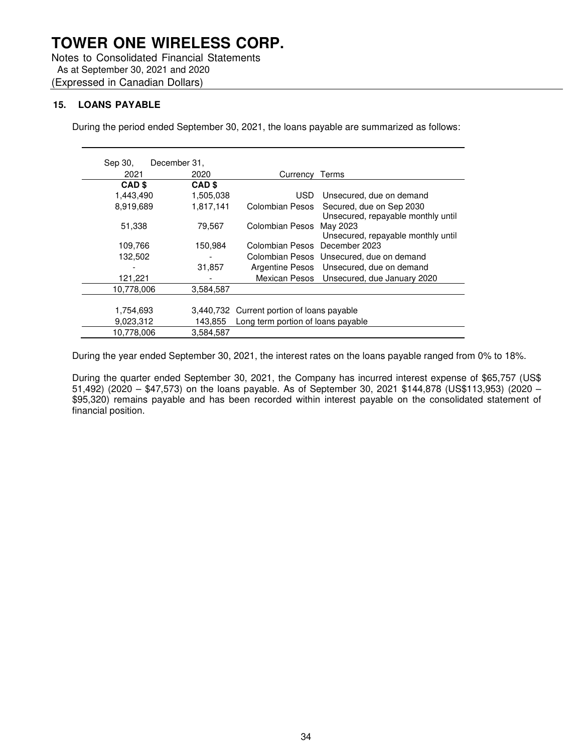Notes to Consolidated Financial Statements As at September 30, 2021 and 2020 (Expressed in Canadian Dollars)

## **15. LOANS PAYABLE**

During the period ended September 30, 2021, the loans payable are summarized as follows:

| Sep 30, |                   | December 31.      |                                            |                                                                |
|---------|-------------------|-------------------|--------------------------------------------|----------------------------------------------------------------|
|         | 2021              | 2020              | Currency                                   | Terms                                                          |
|         | CAD <sub>\$</sub> | CAD <sub>\$</sub> |                                            |                                                                |
|         | 1,443,490         | 1,505,038         | USD.                                       | Unsecured, due on demand                                       |
|         | 8.919.689         | 1,817,141         | Colombian Pesos                            | Secured, due on Sep 2030<br>Unsecured, repayable monthly until |
|         | 51,338            | 79,567            | Colombian Pesos                            | May 2023<br>Unsecured, repayable monthly until                 |
|         | 109,766           | 150,984           | Colombian Pesos December 2023              |                                                                |
|         | 132,502           |                   |                                            | Colombian Pesos Unsecured, due on demand                       |
|         |                   | 31,857            |                                            | Argentine Pesos Unsecured, due on demand                       |
|         | 121,221           |                   |                                            | Mexican Pesos Unsecured, due January 2020                      |
|         | 10,778,006        | 3,584,587         |                                            |                                                                |
|         |                   |                   |                                            |                                                                |
|         | 1,754,693         |                   | 3,440,732 Current portion of loans payable |                                                                |
|         | 9,023,312         | 143,855           | Long term portion of loans payable         |                                                                |
|         | 10,778,006        | 3.584.587         |                                            |                                                                |

During the year ended September 30, 2021, the interest rates on the loans payable ranged from 0% to 18%.

During the quarter ended September 30, 2021, the Company has incurred interest expense of \$65,757 (US\$ 51,492) (2020 – \$47,573) on the loans payable. As of September 30, 2021 \$144,878 (US\$113,953) (2020 – \$95,320) remains payable and has been recorded within interest payable on the consolidated statement of financial position.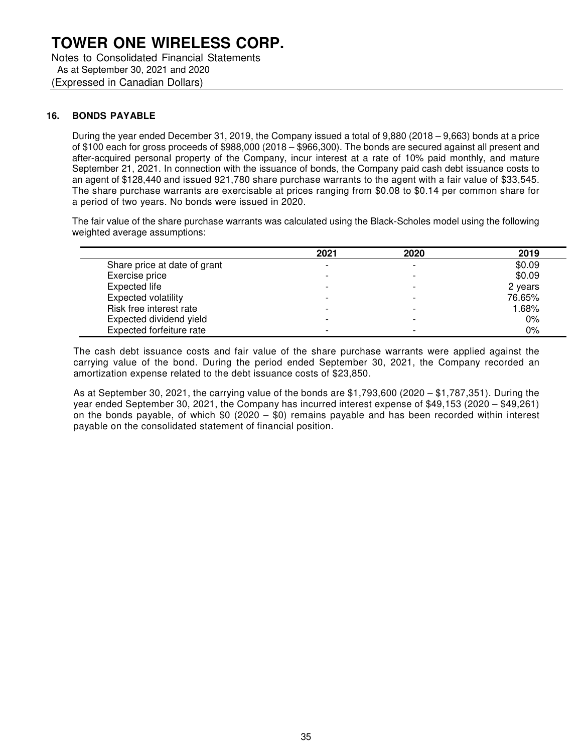Notes to Consolidated Financial Statements As at September 30, 2021 and 2020 (Expressed in Canadian Dollars)

### **16. BONDS PAYABLE**

During the year ended December 31, 2019, the Company issued a total of 9,880 (2018 – 9,663) bonds at a price of \$100 each for gross proceeds of \$988,000 (2018 – \$966,300). The bonds are secured against all present and after-acquired personal property of the Company, incur interest at a rate of 10% paid monthly, and mature September 21, 2021. In connection with the issuance of bonds, the Company paid cash debt issuance costs to an agent of \$128,440 and issued 921,780 share purchase warrants to the agent with a fair value of \$33,545. The share purchase warrants are exercisable at prices ranging from \$0.08 to \$0.14 per common share for a period of two years. No bonds were issued in 2020.

The fair value of the share purchase warrants was calculated using the Black-Scholes model using the following weighted average assumptions:

|                              | 2021 | 2020                     | 2019    |
|------------------------------|------|--------------------------|---------|
| Share price at date of grant |      |                          | \$0.09  |
| Exercise price               |      |                          | \$0.09  |
| Expected life                |      |                          | 2 years |
| <b>Expected volatility</b>   |      |                          | 76.65%  |
| Risk free interest rate      |      |                          | 1.68%   |
| Expected dividend yield      |      |                          | $0\%$   |
| Expected forfeiture rate     |      | $\overline{\phantom{0}}$ | 0%      |

The cash debt issuance costs and fair value of the share purchase warrants were applied against the carrying value of the bond. During the period ended September 30, 2021, the Company recorded an amortization expense related to the debt issuance costs of \$23,850.

As at September 30, 2021, the carrying value of the bonds are \$1,793,600 (2020 – \$1,787,351). During the year ended September 30, 2021, the Company has incurred interest expense of \$49,153 (2020 – \$49,261) on the bonds payable, of which  $$0$  (2020 –  $$0)$  remains payable and has been recorded within interest payable on the consolidated statement of financial position.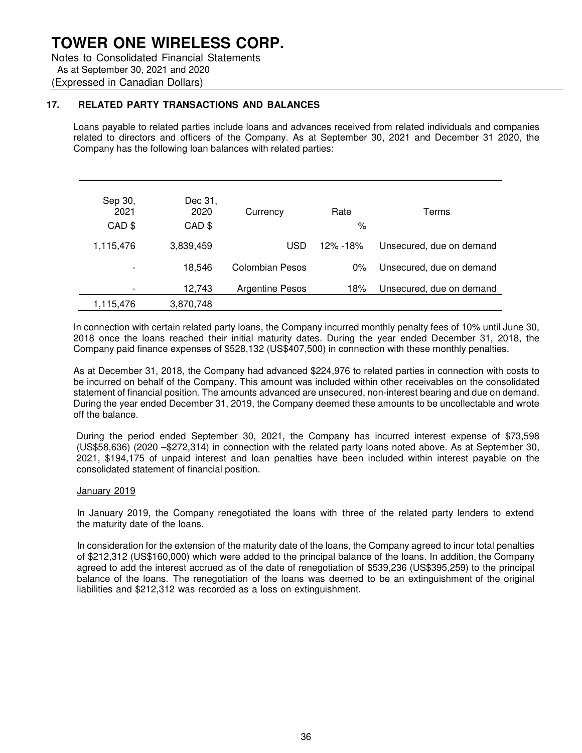Notes to Consolidated Financial Statements As at September 30, 2021 and 2020 (Expressed in Canadian Dollars)

### **17. RELATED PARTY TRANSACTIONS AND BALANCES**

Loans payable to related parties include loans and advances received from related individuals and companies related to directors and officers of the Company. As at September 30, 2021 and December 31 2020, the Company has the following loan balances with related parties:

| Sep 30,<br>2021<br>CAD \$ | Dec 31,<br>2020<br>CAD \$ | Currency               | Rate<br>$\%$ | Terms                    |
|---------------------------|---------------------------|------------------------|--------------|--------------------------|
| 1,115,476                 | 3,839,459                 | <b>USD</b>             | 12% - 18%    | Unsecured, due on demand |
|                           | 18.546                    | Colombian Pesos        | $0\%$        | Unsecured, due on demand |
|                           | 12,743                    | <b>Argentine Pesos</b> | 18%          | Unsecured, due on demand |
| 1,115,476                 | 3,870,748                 |                        |              |                          |

In connection with certain related party loans, the Company incurred monthly penalty fees of 10% until June 30, 2018 once the loans reached their initial maturity dates. During the year ended December 31, 2018, the Company paid finance expenses of \$528,132 (US\$407,500) in connection with these monthly penalties.

As at December 31, 2018, the Company had advanced \$224,976 to related parties in connection with costs to be incurred on behalf of the Company. This amount was included within other receivables on the consolidated statement of financial position. The amounts advanced are unsecured, non-interest bearing and due on demand. During the year ended December 31, 2019, the Company deemed these amounts to be uncollectable and wrote off the balance.

During the period ended September 30, 2021, the Company has incurred interest expense of \$73,598 (US\$58,636) (2020 –\$272,314) in connection with the related party loans noted above. As at September 30, 2021, \$194,175 of unpaid interest and loan penalties have been included within interest payable on the consolidated statement of financial position.

#### January 2019

In January 2019, the Company renegotiated the loans with three of the related party lenders to extend the maturity date of the loans.

In consideration for the extension of the maturity date of the loans, the Company agreed to incur total penalties of \$212,312 (US\$160,000) which were added to the principal balance of the loans. In addition, the Company agreed to add the interest accrued as of the date of renegotiation of \$539,236 (US\$395,259) to the principal balance of the loans. The renegotiation of the loans was deemed to be an extinguishment of the original liabilities and \$212,312 was recorded as a loss on extinguishment.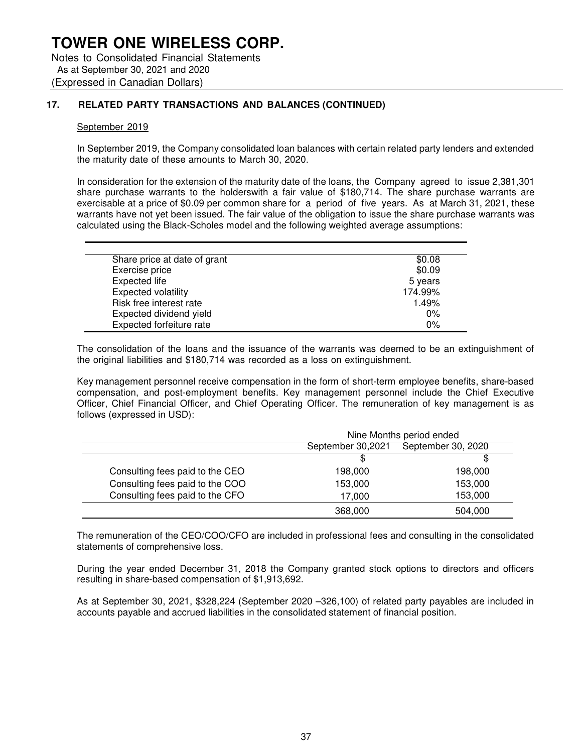Notes to Consolidated Financial Statements As at September 30, 2021 and 2020 (Expressed in Canadian Dollars)

## **17. RELATED PARTY TRANSACTIONS AND BALANCES (CONTINUED)**

#### September 2019

In September 2019, the Company consolidated loan balances with certain related party lenders and extended the maturity date of these amounts to March 30, 2020.

In consideration for the extension of the maturity date of the loans, the Company agreed to issue 2,381,301 share purchase warrants to the holderswith a fair value of \$180,714. The share purchase warrants are exercisable at a price of \$0.09 per common share for a period of five years. As at March 31, 2021, these warrants have not yet been issued. The fair value of the obligation to issue the share purchase warrants was calculated using the Black-Scholes model and the following weighted average assumptions:

| Share price at date of grant | \$0.08  |
|------------------------------|---------|
| Exercise price               | \$0.09  |
| Expected life                | 5 years |
| <b>Expected volatility</b>   | 174.99% |
| Risk free interest rate      | 1.49%   |
| Expected dividend yield      | $0\%$   |
| Expected forfeiture rate     | 0%      |

The consolidation of the loans and the issuance of the warrants was deemed to be an extinguishment of the original liabilities and \$180,714 was recorded as a loss on extinguishment.

Key management personnel receive compensation in the form of short-term employee benefits, share-based compensation, and post-employment benefits. Key management personnel include the Chief Executive Officer, Chief Financial Officer, and Chief Operating Officer. The remuneration of key management is as follows (expressed in USD):

|                                 | Nine Months period ended                |         |
|---------------------------------|-----------------------------------------|---------|
|                                 | September 30,2021<br>September 30, 2020 |         |
|                                 | \$                                      | \$      |
| Consulting fees paid to the CEO | 198,000                                 | 198,000 |
| Consulting fees paid to the COO | 153,000                                 | 153,000 |
| Consulting fees paid to the CFO | 17,000                                  | 153,000 |
|                                 | 368,000                                 | 504,000 |

The remuneration of the CEO/COO/CFO are included in professional fees and consulting in the consolidated statements of comprehensive loss.

During the year ended December 31, 2018 the Company granted stock options to directors and officers resulting in share-based compensation of \$1,913,692.

As at September 30, 2021, \$328,224 (September 2020 –326,100) of related party payables are included in accounts payable and accrued liabilities in the consolidated statement of financial position.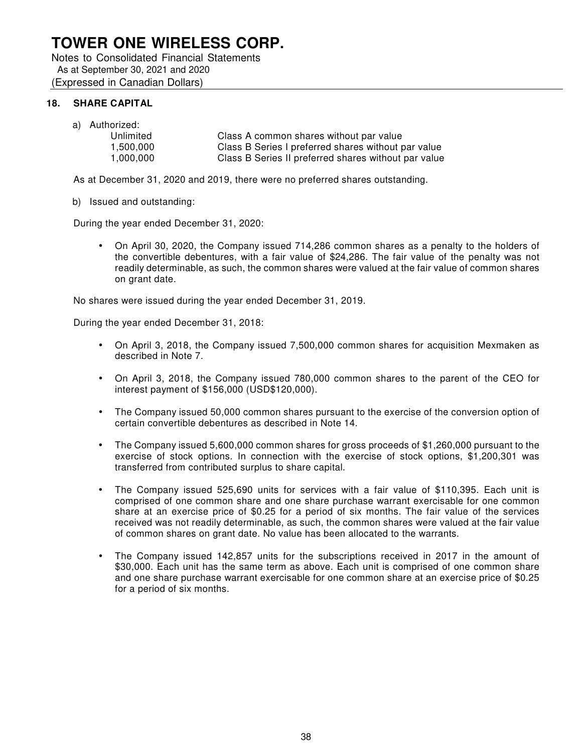Notes to Consolidated Financial Statements As at September 30, 2021 and 2020 (Expressed in Canadian Dollars)

## **18. SHARE CAPITAL**

a) Authorized:

| Unlimited | Class A common shares without par value              |
|-----------|------------------------------------------------------|
| 1.500.000 | Class B Series I preferred shares without par value  |
| 1.000.000 | Class B Series II preferred shares without par value |

As at December 31, 2020 and 2019, there were no preferred shares outstanding.

#### b) Issued and outstanding:

During the year ended December 31, 2020:

• On April 30, 2020, the Company issued 714,286 common shares as a penalty to the holders of the convertible debentures, with a fair value of \$24,286. The fair value of the penalty was not readily determinable, as such, the common shares were valued at the fair value of common shares on grant date.

No shares were issued during the year ended December 31, 2019.

During the year ended December 31, 2018:

- On April 3, 2018, the Company issued 7,500,000 common shares for acquisition Mexmaken as described in Note 7.
- On April 3, 2018, the Company issued 780,000 common shares to the parent of the CEO for interest payment of \$156,000 (USD\$120,000).
- The Company issued 50,000 common shares pursuant to the exercise of the conversion option of certain convertible debentures as described in Note 14.
- The Company issued 5,600,000 common shares for gross proceeds of \$1,260,000 pursuant to the exercise of stock options. In connection with the exercise of stock options, \$1,200,301 was transferred from contributed surplus to share capital.
- The Company issued 525,690 units for services with a fair value of \$110,395. Each unit is comprised of one common share and one share purchase warrant exercisable for one common share at an exercise price of \$0.25 for a period of six months. The fair value of the services received was not readily determinable, as such, the common shares were valued at the fair value of common shares on grant date. No value has been allocated to the warrants.
- The Company issued 142,857 units for the subscriptions received in 2017 in the amount of \$30,000. Each unit has the same term as above. Each unit is comprised of one common share and one share purchase warrant exercisable for one common share at an exercise price of \$0.25 for a period of six months.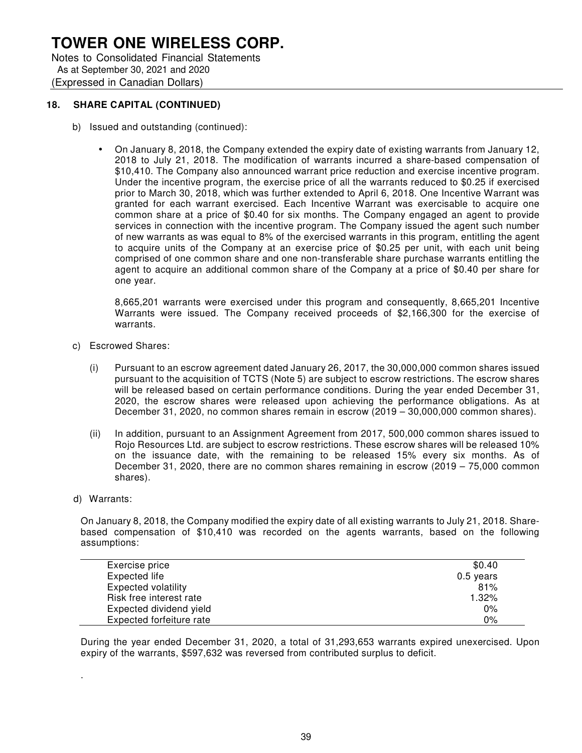Notes to Consolidated Financial Statements As at September 30, 2021 and 2020 (Expressed in Canadian Dollars)

## **18. SHARE CAPITAL (CONTINUED)**

- b) Issued and outstanding (continued):
	- On January 8, 2018, the Company extended the expiry date of existing warrants from January 12, 2018 to July 21, 2018. The modification of warrants incurred a share-based compensation of \$10,410. The Company also announced warrant price reduction and exercise incentive program. Under the incentive program, the exercise price of all the warrants reduced to \$0.25 if exercised prior to March 30, 2018, which was further extended to April 6, 2018. One Incentive Warrant was granted for each warrant exercised. Each Incentive Warrant was exercisable to acquire one common share at a price of \$0.40 for six months. The Company engaged an agent to provide services in connection with the incentive program. The Company issued the agent such number of new warrants as was equal to 8% of the exercised warrants in this program, entitling the agent to acquire units of the Company at an exercise price of \$0.25 per unit, with each unit being comprised of one common share and one non-transferable share purchase warrants entitling the agent to acquire an additional common share of the Company at a price of \$0.40 per share for one year.

8,665,201 warrants were exercised under this program and consequently, 8,665,201 Incentive Warrants were issued. The Company received proceeds of \$2,166,300 for the exercise of warrants.

- c) Escrowed Shares:
	- (i) Pursuant to an escrow agreement dated January 26, 2017, the 30,000,000 common shares issued pursuant to the acquisition of TCTS (Note 5) are subject to escrow restrictions. The escrow shares will be released based on certain performance conditions. During the year ended December 31, 2020, the escrow shares were released upon achieving the performance obligations. As at December 31, 2020, no common shares remain in escrow (2019 – 30,000,000 common shares).
	- (ii) In addition, pursuant to an Assignment Agreement from 2017, 500,000 common shares issued to Rojo Resources Ltd. are subject to escrow restrictions. These escrow shares will be released 10% on the issuance date, with the remaining to be released 15% every six months. As of December 31, 2020, there are no common shares remaining in escrow (2019 – 75,000 common shares).
- d) Warrants:

.

On January 8, 2018, the Company modified the expiry date of all existing warrants to July 21, 2018. Sharebased compensation of \$10,410 was recorded on the agents warrants, based on the following assumptions:

| Exercise price             | \$0.40      |
|----------------------------|-------------|
| Expected life              | $0.5$ years |
| <b>Expected volatility</b> | 81%         |
| Risk free interest rate    | 1.32%       |
| Expected dividend yield    | 0%          |
| Expected forfeiture rate   | 0%          |

During the year ended December 31, 2020, a total of 31,293,653 warrants expired unexercised. Upon expiry of the warrants, \$597,632 was reversed from contributed surplus to deficit.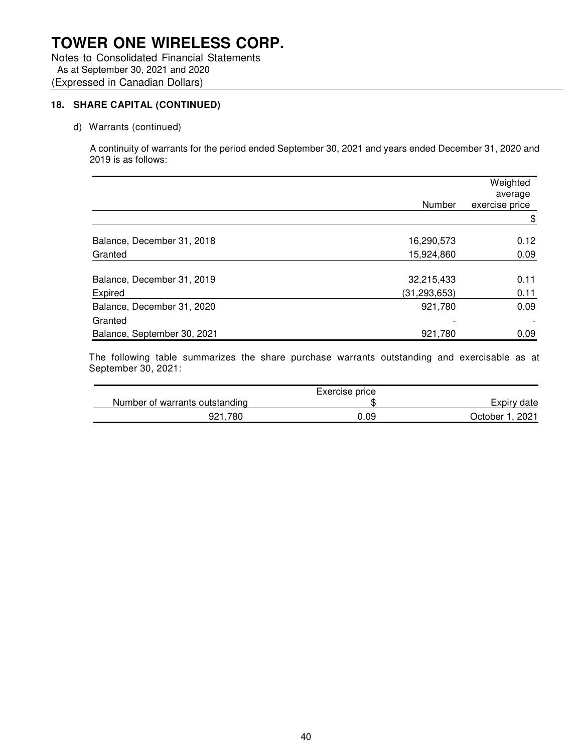Notes to Consolidated Financial Statements As at September 30, 2021 and 2020 (Expressed in Canadian Dollars)

## **18. SHARE CAPITAL (CONTINUED)**

d) Warrants (continued)

A continuity of warrants for the period ended September 30, 2021 and years ended December 31, 2020 and 2019 is as follows:

|                             | Number         | Weighted<br>average<br>exercise price |
|-----------------------------|----------------|---------------------------------------|
|                             |                | \$                                    |
| Balance, December 31, 2018  | 16,290,573     | 0.12                                  |
| Granted                     | 15,924,860     | 0.09                                  |
| Balance, December 31, 2019  | 32,215,433     | 0.11                                  |
| Expired                     | (31, 293, 653) | 0.11                                  |
| Balance, December 31, 2020  | 921,780        | 0.09                                  |
| Granted                     |                |                                       |
| Balance, September 30, 2021 | 921,780        | 0,09                                  |

The following table summarizes the share purchase warrants outstanding and exercisable as at September 30, 2021:

|                                | Exercise price |                     |
|--------------------------------|----------------|---------------------|
| Number of warrants outstanding |                | Expiry date         |
| 921.780                        | 0.09           | . 2021<br>October 1 |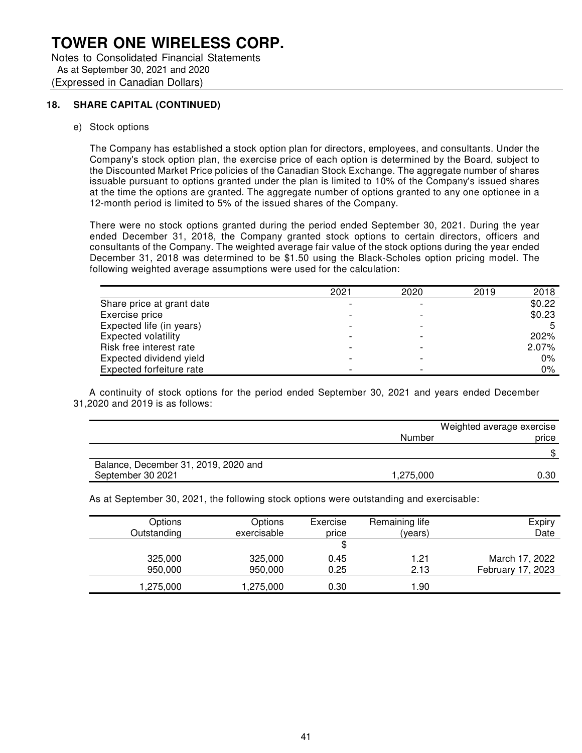Notes to Consolidated Financial Statements As at September 30, 2021 and 2020 (Expressed in Canadian Dollars)

### **18. SHARE CAPITAL (CONTINUED)**

e) Stock options

The Company has established a stock option plan for directors, employees, and consultants. Under the Company's stock option plan, the exercise price of each option is determined by the Board, subject to the Discounted Market Price policies of the Canadian Stock Exchange. The aggregate number of shares issuable pursuant to options granted under the plan is limited to 10% of the Company's issued shares at the time the options are granted. The aggregate number of options granted to any one optionee in a 12-month period is limited to 5% of the issued shares of the Company.

There were no stock options granted during the period ended September 30, 2021. During the year ended December 31, 2018, the Company granted stock options to certain directors, officers and consultants of the Company. The weighted average fair value of the stock options during the year ended December 31, 2018 was determined to be \$1.50 using the Black-Scholes option pricing model. The following weighted average assumptions were used for the calculation:

|                            | 2021 | 2020                     | 2019 | 2018   |
|----------------------------|------|--------------------------|------|--------|
| Share price at grant date  |      |                          |      | \$0.22 |
| Exercise price             |      |                          |      | \$0.23 |
| Expected life (in years)   |      |                          |      |        |
| <b>Expected volatility</b> |      |                          |      | 202%   |
| Risk free interest rate    |      | $\overline{\phantom{0}}$ |      | 2.07%  |
| Expected dividend yield    |      |                          |      | $0\%$  |
| Expected forfeiture rate   |      | $\overline{\phantom{0}}$ |      | 0%     |

A continuity of stock options for the period ended September 30, 2021 and years ended December 31,2020 and 2019 is as follows:

|                                      | Weighted average exercise |       |  |
|--------------------------------------|---------------------------|-------|--|
|                                      | Number                    | price |  |
|                                      |                           |       |  |
| Balance, December 31, 2019, 2020 and |                           |       |  |
| September 30 2021                    | 1,275,000                 | 0.30  |  |

As at September 30, 2021, the following stock options were outstanding and exercisable:

| Options<br>Outstanding | Options<br>exercisable | Exercise<br>price | Remaining life<br>(years) | Expiry<br>Date    |
|------------------------|------------------------|-------------------|---------------------------|-------------------|
|                        |                        | \$                |                           |                   |
| 325,000                | 325,000                | 0.45              | 1.21                      | March 17, 2022    |
| 950,000                | 950,000                | 0.25              | 2.13                      | February 17, 2023 |
| 1,275,000              | .275,000               | 0.30              | .90                       |                   |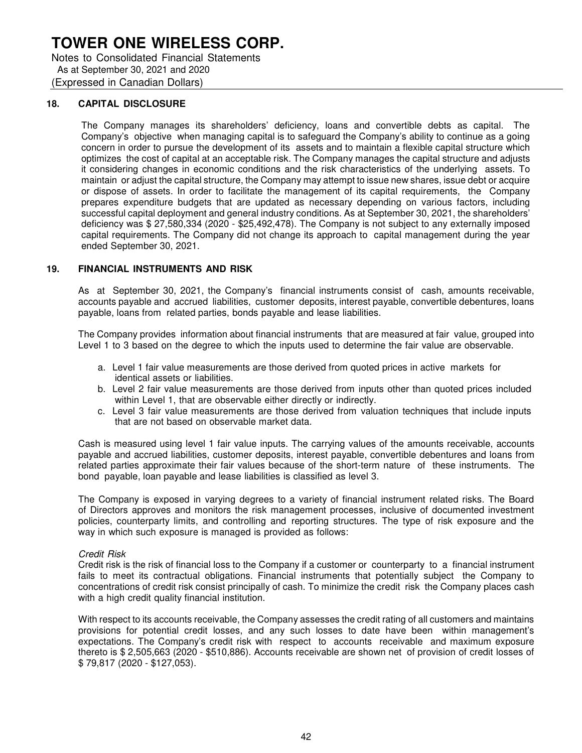Notes to Consolidated Financial Statements As at September 30, 2021 and 2020 (Expressed in Canadian Dollars)

#### **18. CAPITAL DISCLOSURE**

The Company manages its shareholders' deficiency, loans and convertible debts as capital. The Company's objective when managing capital is to safeguard the Company's ability to continue as a going concern in order to pursue the development of its assets and to maintain a flexible capital structure which optimizes the cost of capital at an acceptable risk. The Company manages the capital structure and adjusts it considering changes in economic conditions and the risk characteristics of the underlying assets. To maintain or adjust the capital structure, the Company may attempt to issue new shares, issue debt or acquire or dispose of assets. In order to facilitate the management of its capital requirements, the Company prepares expenditure budgets that are updated as necessary depending on various factors, including successful capital deployment and general industry conditions. As at September 30, 2021, the shareholders' deficiency was \$ 27,580,334 (2020 - \$25,492,478). The Company is not subject to any externally imposed capital requirements. The Company did not change its approach to capital management during the year ended September 30, 2021.

#### **19. FINANCIAL INSTRUMENTS AND RISK**

As at September 30, 2021, the Company's financial instruments consist of cash, amounts receivable, accounts payable and accrued liabilities, customer deposits, interest payable, convertible debentures, loans payable, loans from related parties, bonds payable and lease liabilities.

The Company provides information about financial instruments that are measured at fair value, grouped into Level 1 to 3 based on the degree to which the inputs used to determine the fair value are observable.

- a. Level 1 fair value measurements are those derived from quoted prices in active markets for identical assets or liabilities.
- b. Level 2 fair value measurements are those derived from inputs other than quoted prices included within Level 1, that are observable either directly or indirectly.
- c. Level 3 fair value measurements are those derived from valuation techniques that include inputs that are not based on observable market data.

Cash is measured using level 1 fair value inputs. The carrying values of the amounts receivable, accounts payable and accrued liabilities, customer deposits, interest payable, convertible debentures and loans from related parties approximate their fair values because of the short-term nature of these instruments. The bond payable, loan payable and lease liabilities is classified as level 3.

The Company is exposed in varying degrees to a variety of financial instrument related risks. The Board of Directors approves and monitors the risk management processes, inclusive of documented investment policies, counterparty limits, and controlling and reporting structures. The type of risk exposure and the way in which such exposure is managed is provided as follows:

#### Credit Risk

Credit risk is the risk of financial loss to the Company if a customer or counterparty to a financial instrument fails to meet its contractual obligations. Financial instruments that potentially subject the Company to concentrations of credit risk consist principally of cash. To minimize the credit risk the Company places cash with a high credit quality financial institution.

With respect to its accounts receivable, the Company assesses the credit rating of all customers and maintains provisions for potential credit losses, and any such losses to date have been within management's expectations. The Company's credit risk with respect to accounts receivable and maximum exposure thereto is \$ 2,505,663 (2020 - \$510,886). Accounts receivable are shown net of provision of credit losses of \$ 79,817 (2020 - \$127,053).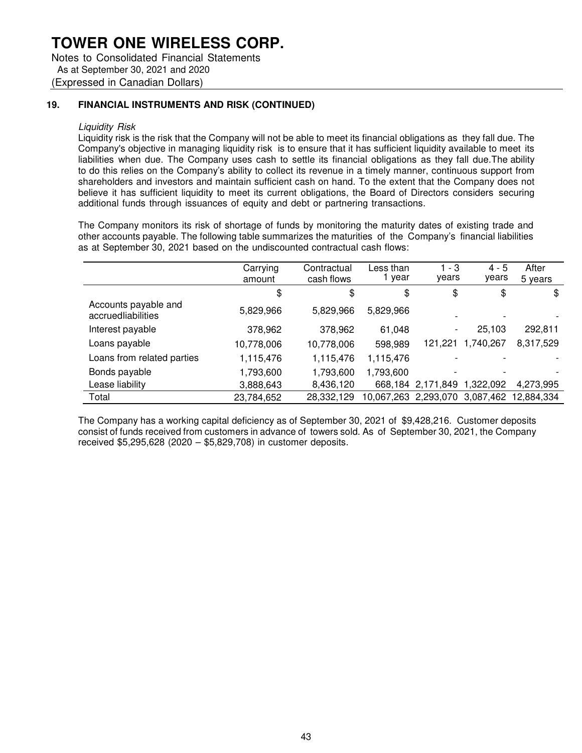Notes to Consolidated Financial Statements As at September 30, 2021 and 2020 (Expressed in Canadian Dollars)

### **19. FINANCIAL INSTRUMENTS AND RISK (CONTINUED)**

#### Liquidity Risk

Liquidity risk is the risk that the Company will not be able to meet its financial obligations as they fall due. The Company's objective in managing liquidity risk is to ensure that it has sufficient liquidity available to meet its liabilities when due. The Company uses cash to settle its financial obligations as they fall due. The ability to do this relies on the Company's ability to collect its revenue in a timely manner, continuous support from shareholders and investors and maintain sufficient cash on hand. To the extent that the Company does not believe it has sufficient liquidity to meet its current obligations, the Board of Directors considers securing additional funds through issuances of equity and debt or partnering transactions.

The Company monitors its risk of shortage of funds by monitoring the maturity dates of existing trade and other accounts payable. The following table summarizes the maturities of the Company's financial liabilities as at September 30, 2021 based on the undiscounted contractual cash flows:

|                                            | Carrying<br>amount | Contractual<br>cash flows | Less than<br>1 year  | $1 - 3$<br>years  | $4 - 5$<br>years         | After<br>5 years |
|--------------------------------------------|--------------------|---------------------------|----------------------|-------------------|--------------------------|------------------|
|                                            | \$                 | \$                        | \$                   | \$                | \$                       | \$               |
| Accounts payable and<br>accruedliabilities | 5,829,966          | 5,829,966                 | 5,829,966            |                   | $\overline{\phantom{0}}$ |                  |
| Interest payable                           | 378,962            | 378,962                   | 61,048               |                   | 25,103                   | 292,811          |
| Loans payable                              | 10,778,006         | 10,778,006                | 598,989              | 121,221           | 1,740,267                | 8,317,529        |
| Loans from related parties                 | 1,115,476          | 1,115,476                 | 1,115,476            |                   |                          |                  |
| Bonds payable                              | 1,793,600          | 1,793,600                 | 1,793,600            |                   | $\overline{\phantom{a}}$ |                  |
| Lease liability                            | 3,888,643          | 8,436,120                 |                      | 668,184 2,171,849 | 1,322,092                | 4.273.995        |
| Total                                      | 23,784,652         | 28,332,129                | 10,067,263 2,293,070 |                   | 3,087,462                | 12,884,334       |

The Company has a working capital deficiency as of September 30, 2021 of \$9,428,216. Customer deposits consist of funds received from customers in advance of towers sold. As of September 30, 2021, the Company received \$5,295,628 (2020 – \$5,829,708) in customer deposits.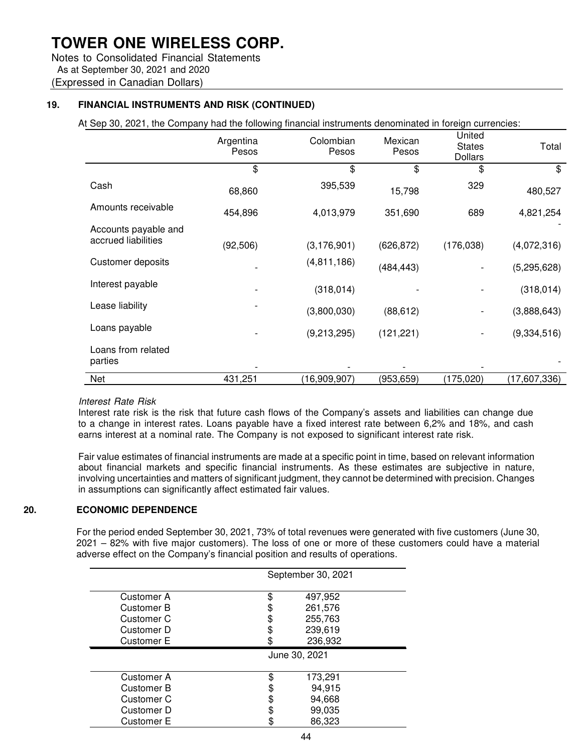Notes to Consolidated Financial Statements As at September 30, 2021 and 2020 (Expressed in Canadian Dollars)

## **19. FINANCIAL INSTRUMENTS AND RISK (CONTINUED)**

At Sep 30, 2021, the Company had the following financial instruments denominated in foreign currencies:

|                               | Argentina<br>Pesos | Colombian<br>Pesos | Mexican<br>Pesos | United<br><b>States</b><br><b>Dollars</b> | Total        |
|-------------------------------|--------------------|--------------------|------------------|-------------------------------------------|--------------|
|                               | \$                 | \$                 | \$               | \$                                        | \$           |
| Cash                          | 68,860             | 395,539            | 15,798           | 329                                       | 480,527      |
| Amounts receivable            | 454,896            | 4,013,979          | 351,690          | 689                                       | 4,821,254    |
| Accounts payable and          |                    |                    |                  |                                           |              |
| accrued liabilities           | (92, 506)          | (3, 176, 901)      | (626, 872)       | (176, 038)                                | (4,072,316)  |
| Customer deposits             |                    | (4,811,186)        | (484, 443)       |                                           | (5,295,628)  |
| Interest payable              |                    | (318, 014)         |                  |                                           | (318, 014)   |
| Lease liability               |                    | (3,800,030)        | (88, 612)        |                                           | (3,888,643)  |
| Loans payable                 |                    | (9,213,295)        | (121, 221)       |                                           | (9,334,516)  |
| Loans from related<br>parties |                    |                    |                  |                                           |              |
| Net                           | 431,251            | (16,909,907)       | (953, 659)       | (175,020)                                 | (17,607,336) |

#### Interest Rate Risk

Interest rate risk is the risk that future cash flows of the Company's assets and liabilities can change due to a change in interest rates. Loans payable have a fixed interest rate between 6,2% and 18%, and cash earns interest at a nominal rate. The Company is not exposed to significant interest rate risk.

Fair value estimates of financial instruments are made at a specific point in time, based on relevant information about financial markets and specific financial instruments. As these estimates are subjective in nature, involving uncertainties and matters of significant judgment, they cannot be determined with precision. Changes in assumptions can significantly affect estimated fair values.

### **20. ECONOMIC DEPENDENCE**

For the period ended September 30, 2021, 73% of total revenues were generated with five customers (June 30, 2021 – 82% with five major customers). The loss of one or more of these customers could have a material adverse effect on the Company's financial position and results of operations.

|                   | September 30, 2021 |  |  |
|-------------------|--------------------|--|--|
| Customer A        | 497,952<br>\$      |  |  |
| Customer B        | 261,576            |  |  |
| Customer C        | 255,763            |  |  |
| Customer D        | 239,619            |  |  |
| Customer E        | 236,932            |  |  |
|                   | June 30, 2021      |  |  |
| Customer A        | 173,291<br>\$      |  |  |
| Customer B        | 94,915             |  |  |
| Customer C        | 94,668             |  |  |
| Customer D        | 99,035             |  |  |
| <b>Customer E</b> | 86,323             |  |  |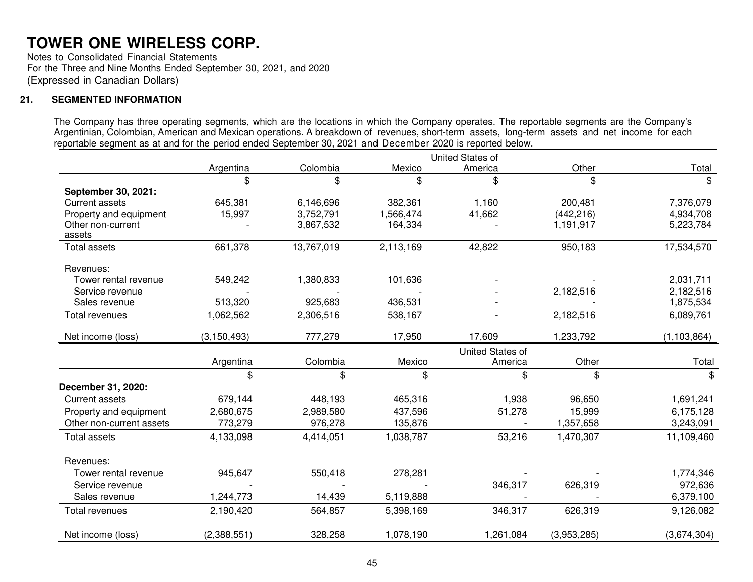Notes to Consolidated Financial Statements For the Three and Nine Months Ended September 30, 2021, and 2020 (Expressed in Canadian Dollars)

## **21. SEGMENTED INFORMATION**

The Company has three operating segments, which are the locations in which the Company operates. The reportable segments are the Company's Argentinian, Colombian, American and Mexican operations. A breakdown of revenues, short-term assets, long-term assets and net income for each reportable segment as at and for the period ended September 30, 2021 and December 2020 is reported below.

|                             | <b>United States of</b> |            |           |                  |             |               |
|-----------------------------|-------------------------|------------|-----------|------------------|-------------|---------------|
|                             | Argentina               | Colombia   | Mexico    | America          | Other       | Total         |
|                             | \$                      | \$         | \$        | \$               | \$          | \$            |
| September 30, 2021:         |                         |            |           |                  |             |               |
| <b>Current assets</b>       | 645,381                 | 6,146,696  | 382,361   | 1,160            | 200,481     | 7,376,079     |
| Property and equipment      | 15,997                  | 3,752,791  | 1,566,474 | 41,662           | (442, 216)  | 4,934,708     |
| Other non-current<br>assets |                         | 3,867,532  | 164,334   |                  | 1,191,917   | 5,223,784     |
| <b>Total assets</b>         | 661,378                 | 13,767,019 | 2,113,169 | 42,822           | 950,183     | 17,534,570    |
| Revenues:                   |                         |            |           |                  |             |               |
| Tower rental revenue        | 549,242                 | 1,380,833  | 101,636   |                  |             | 2,031,711     |
| Service revenue             |                         |            |           |                  | 2,182,516   | 2,182,516     |
| Sales revenue               | 513,320                 | 925,683    | 436,531   |                  |             | 1,875,534     |
| Total revenues              | 1,062,562               | 2,306,516  | 538,167   |                  | 2,182,516   | 6,089,761     |
| Net income (loss)           | (3, 150, 493)           | 777,279    | 17,950    | 17,609           | 1,233,792   | (1, 103, 864) |
|                             |                         |            |           | United States of |             |               |
|                             | Argentina               | Colombia   | Mexico    | America          | Other       | Total         |
|                             | \$                      | \$         | \$        | \$               | \$          | \$            |
| December 31, 2020:          |                         |            |           |                  |             |               |
| <b>Current assets</b>       | 679,144                 | 448,193    | 465,316   | 1,938            | 96,650      | 1,691,241     |
| Property and equipment      | 2,680,675               | 2,989,580  | 437,596   | 51,278           | 15,999      | 6,175,128     |
| Other non-current assets    | 773,279                 | 976,278    | 135,876   |                  | 1,357,658   | 3,243,091     |
| <b>Total assets</b>         | 4,133,098               | 4,414,051  | 1,038,787 | 53,216           | 1,470,307   | 11,109,460    |
| Revenues:                   |                         |            |           |                  |             |               |
| Tower rental revenue        | 945,647                 | 550,418    | 278,281   |                  |             | 1,774,346     |
| Service revenue             |                         |            |           | 346,317          | 626,319     | 972,636       |
| Sales revenue               | 1,244,773               | 14,439     | 5,119,888 |                  |             | 6,379,100     |
| Total revenues              | 2,190,420               | 564,857    | 5,398,169 | 346,317          | 626,319     | 9,126,082     |
| Net income (loss)           | (2,388,551)             | 328,258    | 1,078,190 | 1,261,084        | (3,953,285) | (3,674,304)   |